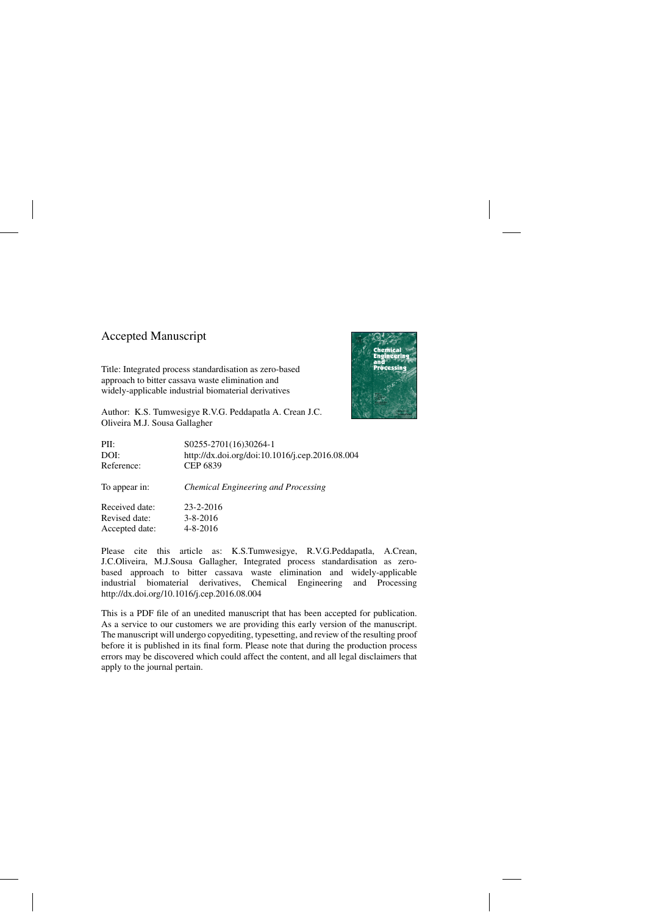### Accepted Manuscript

Title: Integrated process standardisation as zero-based approach to bitter cassava waste elimination and widely-applicable industrial biomaterial derivatives



Author: K.S. Tumwesigye R.V.G. Peddapatla A. Crean J.C. Oliveira M.J. Sousa Gallagher

| S0255-2701(16)30264-1                           |
|-------------------------------------------------|
| http://dx.doi.org/doi:10.1016/j.cep.2016.08.004 |
| CEP 6839                                        |
| <b>Chemical Engineering and Processing</b>      |
| $23 - 2 - 2016$                                 |
| $3 - 8 - 2016$                                  |
| $4 - 8 - 2016$                                  |
|                                                 |

Please cite this article as: K.S.Tumwesigye, R.V.G.Peddapatla, A.Crean, J.C.Oliveira, M.J.Sousa Gallagher, Integrated process standardisation as zerobased approach to bitter cassava waste elimination and widely-applicable industrial biomaterial derivatives, Chemical Engineering and Processing <http://dx.doi.org/10.1016/j.cep.2016.08.004>

This is a PDF file of an unedited manuscript that has been accepted for publication. As a service to our customers we are providing this early version of the manuscript. The manuscript will undergo copyediting, typesetting, and review of the resulting proof before it is published in its final form. Please note that during the production process errors may be discovered which could affect the content, and all legal disclaimers that apply to the journal pertain.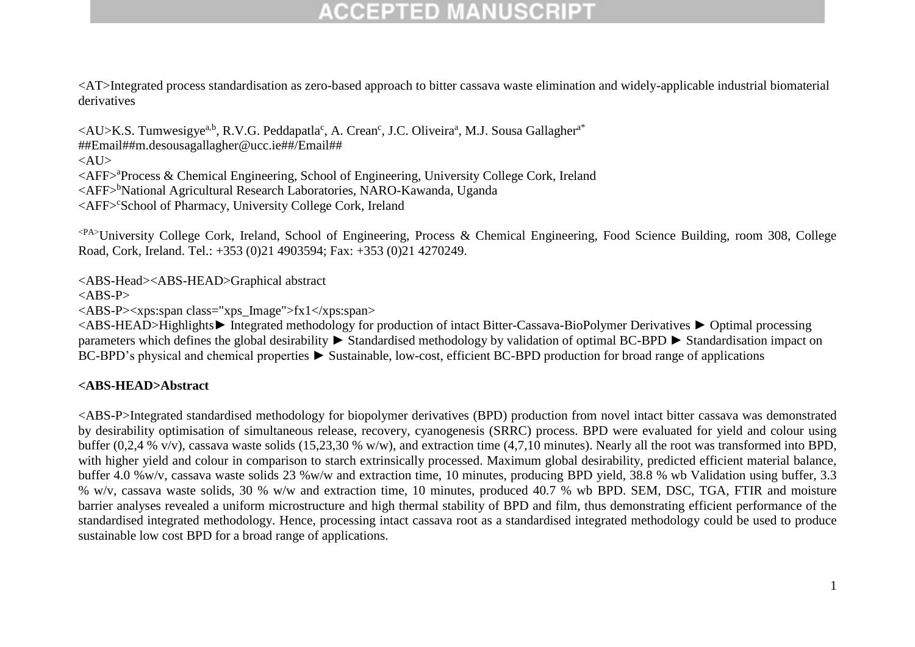<AT>Integrated process standardisation as zero-based approach to bitter cassava waste elimination and widely-applicable industrial biomaterial derivatives

<AU>K.S. Tumwesigye<sup>a,b</sup>, R.V.G. Peddapatla<sup>c</sup>, A. Crean<sup>c</sup>, J.C. Oliveira<sup>a</sup>, M.J. Sousa Gallagher<sup>a\*</sup> [##Email##m.desousagallagher@ucc.ie##/](mailto:%23%23Email%23%23m.desousagallagher@ucc.ie%23%23)Email##  $\langle$ AU> <AFF><sup>a</sup>Process & Chemical Engineering, School of Engineering, University College Cork, Ireland <AFF><sup>b</sup>National Agricultural Research Laboratories, NARO-Kawanda, Uganda <AFF>School of Pharmacy, University College Cork, Ireland

<PA>University College Cork, Ireland, School of Engineering, Process & Chemical Engineering, Food Science Building, room 308, College Road, Cork, Ireland. Tel.: +353 (0)21 4903594; Fax: +353 (0)21 4270249.

<ABS-Head><ABS-HEAD>Graphical abstract

 $<$ ABS-P $>$ 

<ABS-P><xps:span class="xps\_Image">fx1</xps:span>

<ABS-HEAD>Highlights► Integrated methodology for production of intact Bitter-Cassava-BioPolymer Derivatives ► Optimal processing parameters which defines the global desirability ► Standardised methodology by validation of optimal BC-BPD ► Standardisation impact on BC-BPD's physical and chemical properties ► Sustainable, low-cost, efficient BC-BPD production for broad range of applications

#### **<ABS-HEAD>Abstract**

<ABS-P>Integrated standardised methodology for biopolymer derivatives (BPD) production from novel intact bitter cassava was demonstrated by desirability optimisation of simultaneous release, recovery, cyanogenesis (SRRC) process. BPD were evaluated for yield and colour using buffer (0,2,4 % v/v), cassava waste solids (15,23,30 % w/w), and extraction time (4,7,10 minutes). Nearly all the root was transformed into BPD, with higher yield and colour in comparison to starch extrinsically processed. Maximum global desirability, predicted efficient material balance, buffer 4.0 %w/v, cassava waste solids 23 %w/w and extraction time, 10 minutes, producing BPD yield, 38.8 % wb Validation using buffer, 3.3 % w/v, cassava waste solids, 30 % w/w and extraction time, 10 minutes, produced 40.7 % wb BPD. SEM, DSC, TGA, FTIR and moisture barrier analyses revealed a uniform microstructure and high thermal stability of BPD and film, thus demonstrating efficient performance of the standardised integrated methodology. Hence, processing intact cassava root as a standardised integrated methodology could be used to produce sustainable low cost BPD for a broad range of applications.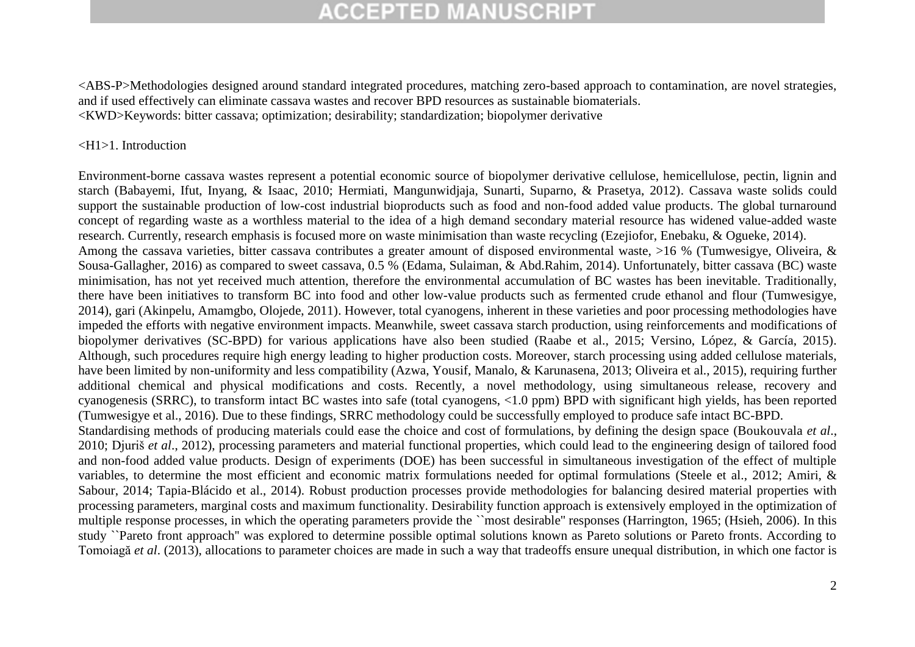<ABS-P>Methodologies designed around standard integrated procedures, matching zero-based approach to contamination, are novel strategies, and if used effectively can eliminate cassava wastes and recover BPD resources as sustainable biomaterials. <KWD>Keywords: bitter cassava; optimization; desirability; standardization; biopolymer derivative

#### <H1>1. Introduction

Environment-borne cassava wastes represent a potential economic source of biopolymer derivative cellulose, hemicellulose, pectin, lignin and starch (Babayemi, Ifut, Inyang, & Isaac, 2010; Hermiati, Mangunwidjaja, Sunarti, Suparno, & Prasetya, 2012). Cassava waste solids could support the sustainable production of low-cost industrial bioproducts such as food and non-food added value products. The global turnaround concept of regarding waste as a worthless material to the idea of a high demand secondary material resource has widened value-added waste research. Currently, research emphasis is focused more on waste minimisation than waste recycling (Ezejiofor, Enebaku, & Ogueke, 2014). Among the cassava varieties, bitter cassava contributes a greater amount of disposed environmental waste, >16 % (Tumwesigye, Oliveira, & Sousa-Gallagher, 2016) as compared to sweet cassava, 0.5 % (Edama, Sulaiman, & Abd.Rahim, 2014). Unfortunately, bitter cassava (BC) waste minimisation, has not yet received much attention, therefore the environmental accumulation of BC wastes has been inevitable. Traditionally, there have been initiatives to transform BC into food and other low-value products such as fermented crude ethanol and flour (Tumwesigye, 2014), gari (Akinpelu, Amamgbo, Olojede, 2011). However, total cyanogens, inherent in these varieties and poor processing methodologies have impeded the efforts with negative environment impacts. Meanwhile, sweet cassava starch production, using reinforcements and modifications of biopolymer derivatives (SC-BPD) for various applications have also been studied (Raabe et al., 2015; Versino, López, & García, 2015). Although, such procedures require high energy leading to higher production costs. Moreover, starch processing using added cellulose materials, have been limited by non-uniformity and less compatibility (Azwa, Yousif, Manalo, & Karunasena, 2013; Oliveira et al., 2015), requiring further additional chemical and physical modifications and costs. Recently, a novel methodology, using simultaneous release, recovery and cyanogenesis (SRRC), to transform intact BC wastes into safe (total cyanogens, <1.0 ppm) BPD with significant high yields, has been reported (Tumwesigye et al., 2016). Due to these findings, SRRC methodology could be successfully employed to produce safe intact BC-BPD. Standardising methods of producing materials could ease the choice and cost of formulations, by defining the design space (Boukouvala *et al*., 2010; Djuriš *et al*., 2012), processing parameters and material functional properties, which could lead to the engineering design of tailored food and non-food added value products. Design of experiments (DOE) has been successful in simultaneous investigation of the effect of multiple variables, to determine the most efficient and economic matrix formulations needed for optimal formulations (Steele et al., 2012; Amiri, & Sabour, 2014; Tapia-Blácido et al., 2014). Robust production processes provide methodologies for balancing desired material properties with processing parameters, marginal costs and maximum functionality. Desirability function approach is extensively employed in the optimization of multiple response processes, in which the operating parameters provide the ``most desirable'' responses (Harrington, 1965; (Hsieh, 2006). In this study ``Pareto front approach'' was explored to determine possible optimal solutions known as Pareto solutions or Pareto fronts. According to Tomoiagă *et al*. (2013), allocations to parameter choices are made in such a way that tradeoffs ensure unequal distribution, in which one factor is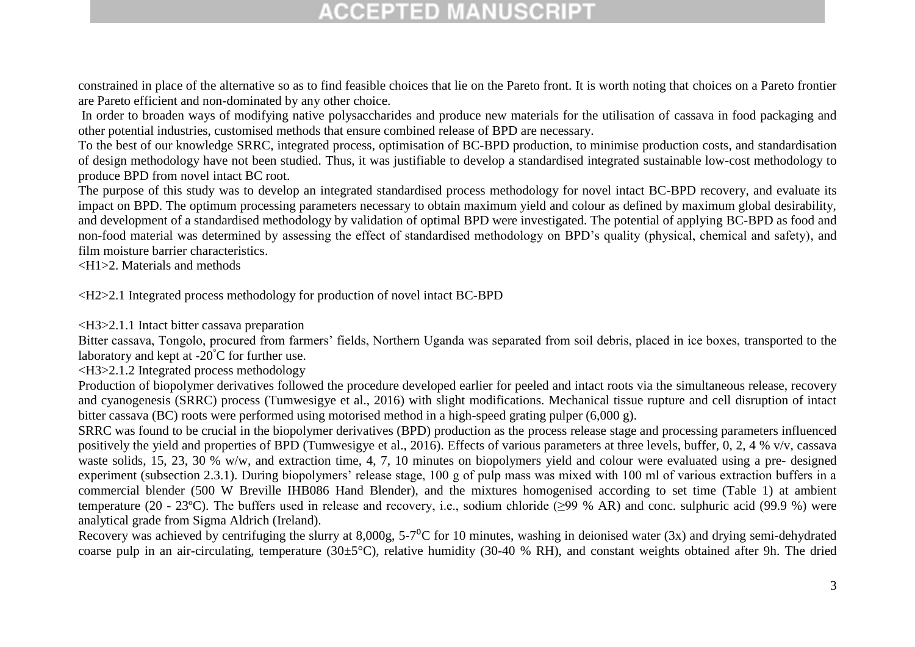constrained in place of the alternative so as to find feasible choices that lie on the Pareto front. It is worth noting that choices on a Pareto frontier are Pareto efficient and non-dominated by any other choice.

In order to broaden ways of modifying native polysaccharides and produce new materials for the utilisation of cassava in food packaging and other potential industries, customised methods that ensure combined release of BPD are necessary.

To the best of our knowledge SRRC, integrated process, optimisation of BC-BPD production, to minimise production costs, and standardisation of design methodology have not been studied. Thus, it was justifiable to develop a standardised integrated sustainable low-cost methodology to produce BPD from novel intact BC root.

The purpose of this study was to develop an integrated standardised process methodology for novel intact BC-BPD recovery, and evaluate its impact on BPD. The optimum processing parameters necessary to obtain maximum yield and colour as defined by maximum global desirability, and development of a standardised methodology by validation of optimal BPD were investigated. The potential of applying BC-BPD as food and non-food material was determined by assessing the effect of standardised methodology on BPD's quality (physical, chemical and safety), and film moisture barrier characteristics.

<H1>2. Materials and methods

<H2>2.1 Integrated process methodology for production of novel intact BC-BPD

<H3>2.1.1 Intact bitter cassava preparation

Bitter cassava, Tongolo, procured from farmers' fields, Northern Uganda was separated from soil debris, placed in ice boxes, transported to the laboratory and kept at  $-20^{\circ}$ C for further use.

<H3>2.1.2 Integrated process methodology

Production of biopolymer derivatives followed the procedure developed earlier for peeled and intact roots via the simultaneous release, recovery and cyanogenesis (SRRC) process (Tumwesigye et al., 2016) with slight modifications. Mechanical tissue rupture and cell disruption of intact bitter cassava (BC) roots were performed using motorised method in a high-speed grating pulper (6,000 g).

SRRC was found to be crucial in the biopolymer derivatives (BPD) production as the process release stage and processing parameters influenced positively the yield and properties of BPD (Tumwesigye et al., 2016). Effects of various parameters at three levels, buffer, 0, 2, 4 % v/v, cassava waste solids, 15, 23, 30 % w/w, and extraction time, 4, 7, 10 minutes on biopolymers yield and colour were evaluated using a pre- designed experiment (subsection 2.3.1). During biopolymers' release stage, 100 g of pulp mass was mixed with 100 ml of various extraction buffers in a commercial blender (500 W Breville IHB086 Hand Blender), and the mixtures homogenised according to set time (Table 1) at ambient temperature (20 - 23ºC). The buffers used in release and recovery, i.e., sodium chloride (≥99 % AR) and conc. sulphuric acid (99.9 %) were analytical grade from Sigma Aldrich (Ireland).

Recovery was achieved by centrifuging the slurry at  $8.000$ g,  $5\text{-}7\text{°C}$  for 10 minutes, washing in deionised water (3x) and drying semi-dehydrated coarse pulp in an air-circulating, temperature  $(30\pm5^{\circ}C)$ , relative humidity  $(30-40\% \text{ RH})$ , and constant weights obtained after 9h. The dried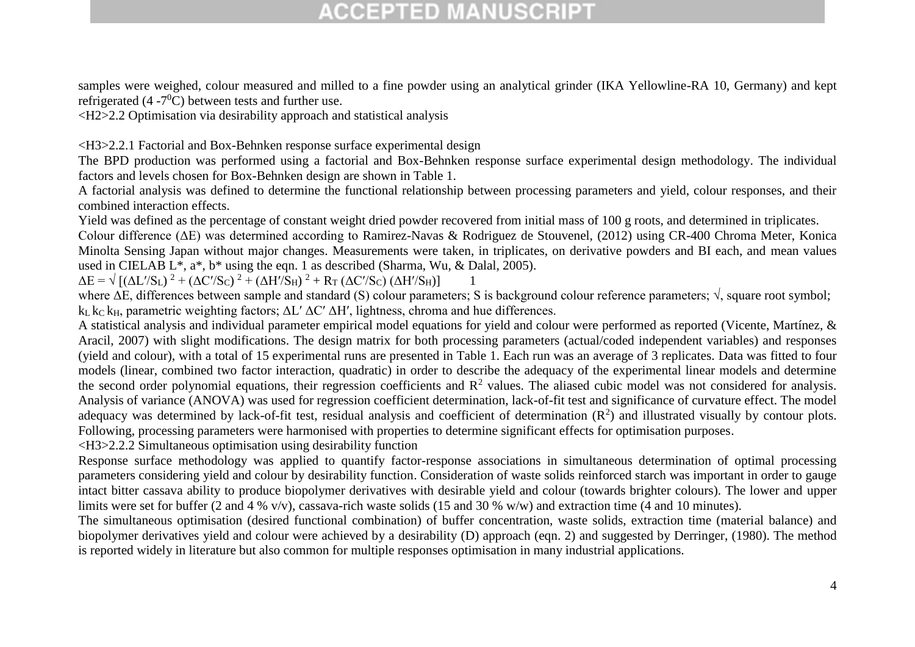samples were weighed, colour measured and milled to a fine powder using an analytical grinder (IKA Yellowline-RA 10, Germany) and kept refrigerated  $(4 - 7<sup>0</sup>C)$  between tests and further use.

<H2>2.2 Optimisation via desirability approach and statistical analysis

<H3>2.2.1 Factorial and Box-Behnken response surface experimental design

The BPD production was performed using a factorial and Box-Behnken response surface experimental design methodology. The individual factors and levels chosen for Box-Behnken design are shown in Table 1.

A factorial analysis was defined to determine the functional relationship between processing parameters and yield, colour responses, and their combined interaction effects.

Yield was defined as the percentage of constant weight dried powder recovered from initial mass of 100 g roots, and determined in triplicates.

Colour difference (ΔE) was determined according to Ramirez-Navas & Rodriguez de Stouvenel, (2012) using CR-400 Chroma Meter, Konica Minolta Sensing Japan without major changes. Measurements were taken, in triplicates, on derivative powders and BI each, and mean values used in CIELAB L\*, a\*, b\* using the eqn. 1 as described (Sharma, Wu, & Dalal, 2005).

 $\Delta E = \sqrt{\left[ (\Delta L'/S_L)^2 + (\Delta C'/S_C)^2 + (\Delta H'/S_H)^2 + R_T (\Delta C'/S_C) (\Delta H'/S_H) \right]}$ 

where ΔE, differences between sample and standard (S) colour parameters; S is background colour reference parameters; √, square root symbol; k<sub>L</sub> k<sub>C</sub> k<sub>H</sub>, parametric weighting factors;  $ΔL' ΔC' ΔH'$ , lightness, chroma and hue differences.

A statistical analysis and individual parameter empirical model equations for yield and colour were performed as reported (Vicente, Martínez, & Aracil, 2007) with slight modifications. The design matrix for both processing parameters (actual/coded independent variables) and responses (yield and colour), with a total of 15 experimental runs are presented in Table 1. Each run was an average of 3 replicates. Data was fitted to four models (linear, combined two factor interaction, quadratic) in order to describe the adequacy of the experimental linear models and determine the second order polynomial equations, their regression coefficients and  $\mathbb{R}^2$  values. The aliased cubic model was not considered for analysis. Analysis of variance (ANOVA) was used for regression coefficient determination, lack-of-fit test and significance of curvature effect. The model adequacy was determined by lack-of-fit test, residual analysis and coefficient of determination  $(R^2)$  and illustrated visually by contour plots. Following, processing parameters were harmonised with properties to determine significant effects for optimisation purposes.

<H3>2.2.2 Simultaneous optimisation using desirability function

Response surface methodology was applied to quantify factor-response associations in simultaneous determination of optimal processing parameters considering yield and colour by desirability function. Consideration of waste solids reinforced starch was important in order to gauge intact bitter cassava ability to produce biopolymer derivatives with desirable yield and colour (towards brighter colours). The lower and upper limits were set for buffer (2 and 4 % v/v), cassava-rich waste solids (15 and 30 % w/w) and extraction time (4 and 10 minutes).

The simultaneous optimisation (desired functional combination) of buffer concentration, waste solids, extraction time (material balance) and biopolymer derivatives yield and colour were achieved by a desirability (D) approach (eqn. 2) and suggested by Derringer, (1980). The method is reported widely in literature but also common for multiple responses optimisation in many industrial applications.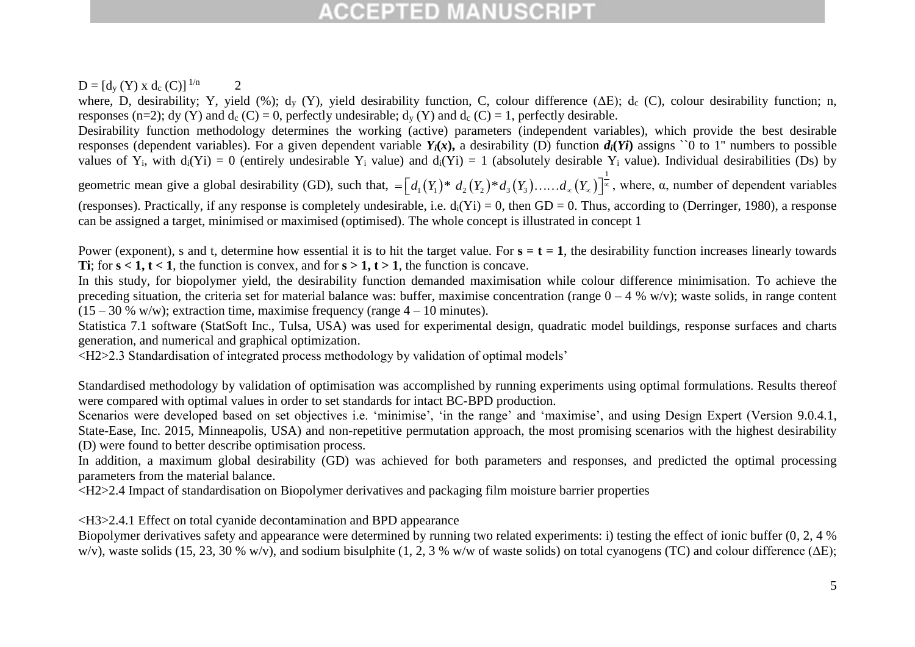### $D = [d_y (Y) \times d_c (C)]^{1/n}$  2

where, D, desirability; Y, yield (%);  $d_y$  (Y), yield desirability function, C, colour difference ( $\Delta E$ );  $d_c$  (C), colour desirability function; n, responses (n=2); dy (Y) and d<sub>c</sub> (C) = 0, perfectly undesirable;  $d_v$  (Y) and  $d_c$  (C) = 1, perfectly desirable.

Desirability function methodology determines the working (active) parameters (independent variables), which provide the best desirable responses (dependent variables). For a given dependent variable  $Y_i(x)$ , a desirability (D) function  $d_i(Y_i)$  assigns solid to 1" numbers to possible values of Y<sub>i</sub>, with  $d_i(Y_i) = 0$  (entirely undesirable Y<sub>i</sub> value) and  $d_i(Y_i) = 1$  (absolutely desirable Y<sub>i</sub> value). Individual desirabilities (Ds) by

geometric mean give a global desirability (GD), such that,  $= |d_1(Y_1)^* d_2(Y_2)^* d_3(Y_3) \dots d_{\infty}(Y_{\infty})|$ 1 e) and  $d_i(Y_1) = 1$  (absolutely desirable  $Y_i$  va<br>=  $\left[ d_1(Y_1)^* d_2(Y_2)^* d_3(Y_3) \dots d_{\infty}(Y_{\infty}) \right]^{\frac{1}{\infty}}$ , wh , where, α, number of dependent variables (responses). Practically, if any response is completely undesirable, i.e.  $d_i(Y_i) = 0$ , then  $GD = 0$ . Thus, according to (Derringer, 1980), a response can be assigned a target, minimised or maximised (optimised). The whole concept is illustrated in concept 1

Power (exponent), s and t, determine how essential it is to hit the target value. For  $s = t = 1$ , the desirability function increases linearly towards **Ti**; for  $s < 1$ ,  $t < 1$ , the function is convex, and for  $s > 1$ ,  $t > 1$ , the function is concave.

In this study, for biopolymer yield, the desirability function demanded maximisation while colour difference minimisation. To achieve the preceding situation, the criteria set for material balance was: buffer, maximise concentration (range  $0 - 4$  % w/v); waste solids, in range content  $(15 - 30 %$  w/w); extraction time, maximise frequency (range  $4 - 10$  minutes).

Statistica 7.1 software (StatSoft Inc., Tulsa, USA) was used for experimental design, quadratic model buildings, response surfaces and charts generation, and numerical and graphical optimization.

<H2>2.3 Standardisation of integrated process methodology by validation of optimal models'

Standardised methodology by validation of optimisation was accomplished by running experiments using optimal formulations. Results thereof were compared with optimal values in order to set standards for intact BC-BPD production.

Scenarios were developed based on set objectives i.e. 'minimise', 'in the range' and 'maximise', and using Design Expert (Version 9.0.4.1, State-Ease, Inc. 2015, Minneapolis, USA) and non-repetitive permutation approach, the most promising scenarios with the highest desirability (D) were found to better describe optimisation process.

In addition, a maximum global desirability (GD) was achieved for both parameters and responses, and predicted the optimal processing parameters from the material balance.

<H2>2.4 Impact of standardisation on Biopolymer derivatives and packaging film moisture barrier properties

<H3>2.4.1 Effect on total cyanide decontamination and BPD appearance

Biopolymer derivatives safety and appearance were determined by running two related experiments: i) testing the effect of ionic buffer (0, 2, 4 % w/v), waste solids (15, 23, 30 % w/v), and sodium bisulphite (1, 2, 3 % w/w of waste solids) on total cyanogens (TC) and colour difference (∆E);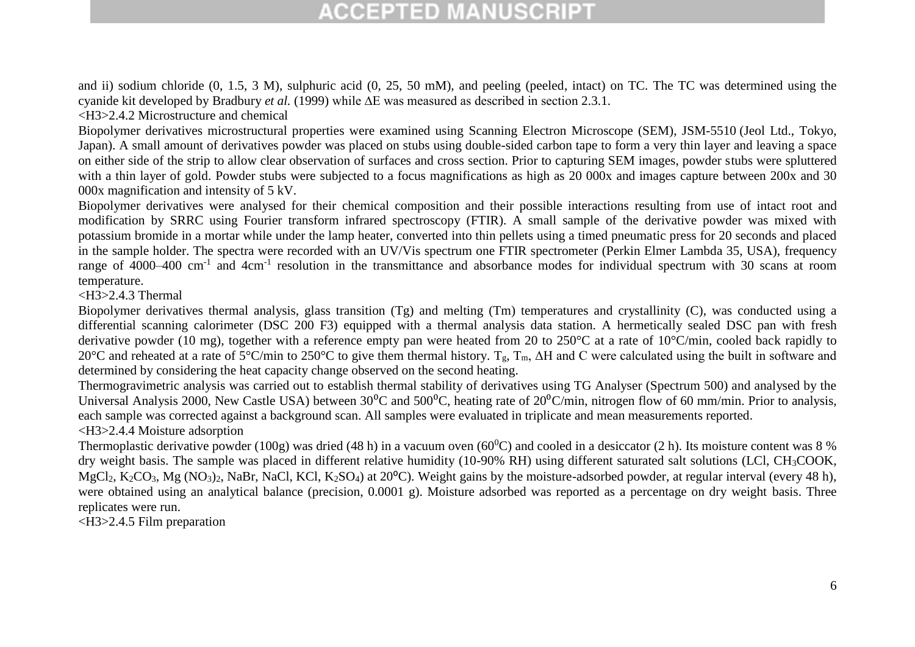and ii) sodium chloride (0, 1.5, 3 M), sulphuric acid (0, 25, 50 mM), and peeling (peeled, intact) on TC. The TC was determined using the cyanide kit developed by Bradbury *et al.* (1999) while ∆E was measured as described in section 2.3.1.

<H3>2.4.2 Microstructure and chemical

Biopolymer derivatives microstructural properties were examined using Scanning Electron Microscope (SEM), JSM-5510 (Jeol Ltd., Tokyo, Japan). A small amount of derivatives powder was placed on stubs using double-sided carbon tape to form a very thin layer and leaving a space on either side of the strip to allow clear observation of surfaces and cross section. Prior to capturing SEM images, powder stubs were spluttered with a thin layer of gold. Powder stubs were subjected to a focus magnifications as high as 20 000x and images capture between 200x and 30 000x magnification and intensity of 5 kV.

Biopolymer derivatives were analysed for their chemical composition and their possible interactions resulting from use of intact root and modification by SRRC using Fourier transform infrared spectroscopy (FTIR). A small sample of the derivative powder was mixed with potassium bromide in a mortar while under the lamp heater, converted into thin pellets using a timed pneumatic press for 20 seconds and placed in the sample holder. The spectra were recorded with an UV/Vis spectrum one FTIR spectrometer (Perkin Elmer Lambda 35, USA), frequency range of 4000–400 cm<sup>-1</sup> and 4cm<sup>-1</sup> resolution in the transmittance and absorbance modes for individual spectrum with 30 scans at room temperature.

 $-H3>2.4.3$  Thermal

Biopolymer derivatives thermal analysis, glass transition (Tg) and melting (Tm) temperatures and crystallinity (C), was conducted using a differential scanning calorimeter (DSC 200 F3) equipped with a thermal analysis data station. A hermetically sealed DSC pan with fresh derivative powder (10 mg), together with a reference empty pan were heated from 20 to 250°C at a rate of 10°C/min, cooled back rapidly to 20°C and reheated at a rate of 5°C/min to 250°C to give them thermal history. Tg, Tm, ΔH and C were calculated using the built in software and determined by considering the heat capacity change observed on the second heating.

Thermogravimetric analysis was carried out to establish thermal stability of derivatives using TG Analyser (Spectrum 500) and analysed by the Universal Analysis 2000, New Castle USA) between  $30^0$ C and  $500^0$ C, heating rate of  $20^0$ C/min, nitrogen flow of 60 mm/min. Prior to analysis, each sample was corrected against a background scan. All samples were evaluated in triplicate and mean measurements reported. <H3>2.4.4 Moisture adsorption

Thermoplastic derivative powder (100g) was dried (48 h) in a vacuum oven (60<sup>0</sup>C) and cooled in a desiccator (2 h). Its moisture content was 8 % dry weight basis. The sample was placed in different relative humidity (10-90% RH) using different saturated salt solutions (LCl, CH3COOK, MgCl<sub>2</sub>, K<sub>2</sub>CO<sub>3</sub>, Mg (NO<sub>3</sub>)<sub>2</sub>, NaBr, NaCl, KCl, K<sub>2</sub>SO<sub>4</sub>) at 20<sup>o</sup>C). Weight gains by the moisture-adsorbed powder, at regular interval (every 48 h), were obtained using an analytical balance (precision, 0.0001 g). Moisture adsorbed was reported as a percentage on dry weight basis. Three replicates were run.

<H3>2.4.5 Film preparation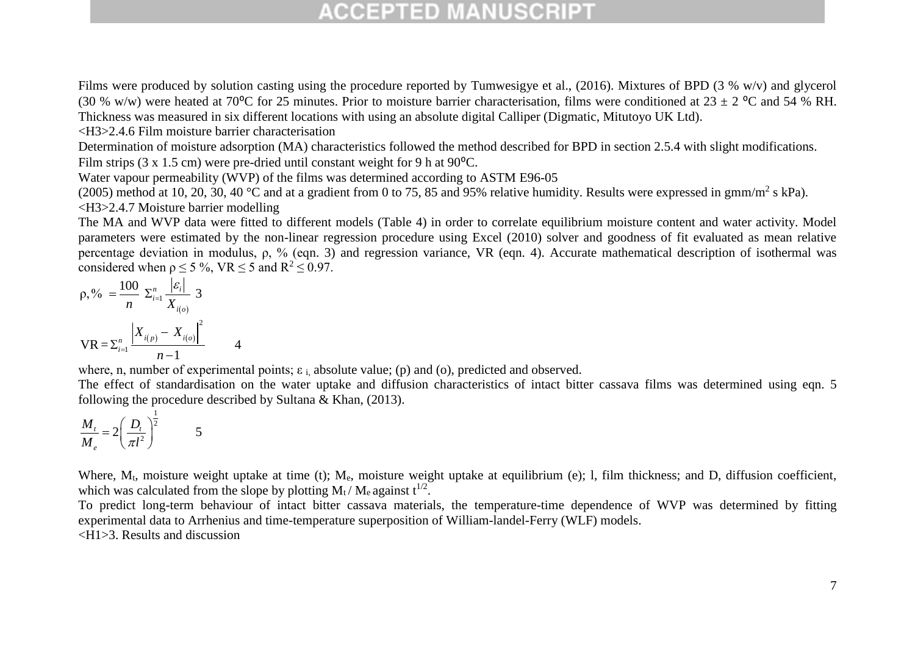Films were produced by solution casting using the procedure reported by Tumwesigye et al., (2016). Mixtures of BPD (3 % w/v) and glycerol (30 % w/w) were heated at 70<sup>o</sup>C for 25 minutes. Prior to moisture barrier characterisation, films were conditioned at 23  $\pm$  2 <sup>o</sup>C and 54 % RH. Thickness was measured in six different locations with using an absolute digital Calliper (Digmatic, Mitutoyo UK Ltd).

<H3>2.4.6 Film moisture barrier characterisation

Determination of moisture adsorption (MA) characteristics followed the method described for BPD in section 2.5.4 with slight modifications. Film strips  $(3 \times 1.5 \text{ cm})$  were pre-dried until constant weight for 9 h at 90<sup>o</sup>C.

Water vapour permeability (WVP) of the films was determined according to ASTM E96-05

(2005) method at 10, 20, 30, 40 °C and at a gradient from 0 to 75, 85 and 95% relative humidity. Results were expressed in  $\text{gmm/m}^2$  s kPa). <H3>2.4.7 Moisture barrier modelling

The MA and WVP data were fitted to different models (Table 4) in order to correlate equilibrium moisture content and water activity. Model parameters were estimated by the non-linear regression procedure using Excel (2010) solver and goodness of fit evaluated as mean relative percentage deviation in modulus, ρ, % (eqn. 3) and regression variance, VR (eqn. 4). Accurate mathematical description of isothermal was considered when  $\rho \le 5 \%$ , VR  $\le 5$  and R<sup>2</sup>  $\le 0.97$ .

$$
\rho, \% = \frac{100}{n} \sum_{i=1}^{n} \frac{|\varepsilon_{i}|}{X_{i(o)}} 3
$$

$$
VR = \sum_{i=1}^{n} \frac{|X_{i(p)} - X_{i(o)}|^{2}}{n-1} 4
$$

where, n, number of experimental points;  $\varepsilon_i$  absolute value; (p) and (o), predicted and observed.

The effect of standardisation on the water uptake and diffusion characteristics of intact bitter cassava films was determined using eqn. 5 following the procedure described by Sultana & Khan, (2013).

$$
\frac{M_t}{M_e} = 2\left(\frac{D_t}{\pi l^2}\right)^{\frac{1}{2}} \qquad \qquad 5
$$

Where,  $M_t$ , moisture weight uptake at time (t);  $M_e$ , moisture weight uptake at equilibrium (e); 1, film thickness; and D, diffusion coefficient, which was calculated from the slope by plotting  $M_t / M_e$  against  $t^{1/2}$ .

To predict long-term behaviour of intact bitter cassava materials, the temperature-time dependence of WVP was determined by fitting experimental data to Arrhenius and time-temperature superposition of William-landel-Ferry (WLF) models. <H1>3. Results and discussion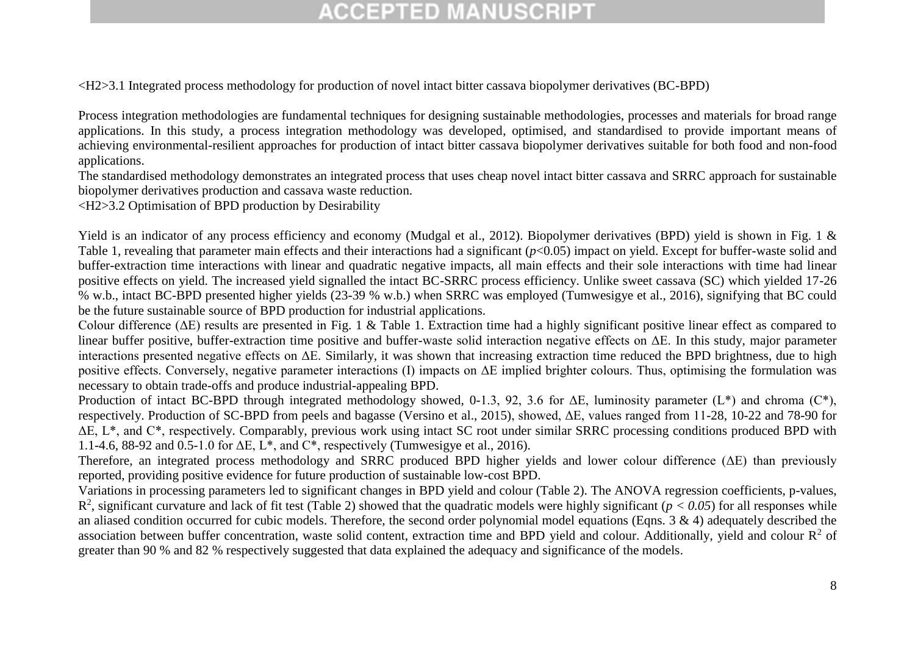<H2>3.1 Integrated process methodology for production of novel intact bitter cassava biopolymer derivatives (BC-BPD)

Process integration methodologies are fundamental techniques for designing sustainable methodologies, processes and materials for broad range applications. In this study, a process integration methodology was developed, optimised, and standardised to provide important means of achieving environmental-resilient approaches for production of intact bitter cassava biopolymer derivatives suitable for both food and non-food applications.

The standardised methodology demonstrates an integrated process that uses cheap novel intact bitter cassava and SRRC approach for sustainable biopolymer derivatives production and cassava waste reduction.

<H2>3.2 Optimisation of BPD production by Desirability

Yield is an indicator of any process efficiency and economy (Mudgal et al., 2012). Biopolymer derivatives (BPD) yield is shown in Fig. 1 & Table 1, revealing that parameter main effects and their interactions had a significant ( $p<0.05$ ) impact on yield. Except for buffer-waste solid and buffer-extraction time interactions with linear and quadratic negative impacts, all main effects and their sole interactions with time had linear positive effects on yield. The increased yield signalled the intact BC-SRRC process efficiency. Unlike sweet cassava (SC) which yielded 17-26 % w.b., intact BC-BPD presented higher yields (23-39 % w.b.) when SRRC was employed (Tumwesigye et al., 2016), signifying that BC could be the future sustainable source of BPD production for industrial applications.

Colour difference (ΔE) results are presented in Fig. 1 & Table 1. Extraction time had a highly significant positive linear effect as compared to linear buffer positive, buffer-extraction time positive and buffer-waste solid interaction negative effects on ΔE. In this study, major parameter interactions presented negative effects on ΔE. Similarly, it was shown that increasing extraction time reduced the BPD brightness, due to high positive effects. Conversely, negative parameter interactions (I) impacts on ΔE implied brighter colours. Thus, optimising the formulation was necessary to obtain trade-offs and produce industrial-appealing BPD.

Production of intact BC-BPD through integrated methodology showed, 0-1.3, 92, 3.6 for  $\Delta E$ , luminosity parameter (L\*) and chroma (C\*), respectively. Production of SC-BPD from peels and bagasse (Versino et al., 2015), showed, ΔE, values ranged from 11-28, 10-22 and 78-90 for ΔE, L\*, and C\*, respectively. Comparably, previous work using intact SC root under similar SRRC processing conditions produced BPD with 1.1-4.6, 88-92 and 0.5-1.0 for  $\Delta E$ ,  $L^*$ , and  $C^*$ , respectively (Tumwesigye et al., 2016).

Therefore, an integrated process methodology and SRRC produced BPD higher yields and lower colour difference (ΔE) than previously reported, providing positive evidence for future production of sustainable low-cost BPD.

Variations in processing parameters led to significant changes in BPD yield and colour (Table 2). The ANOVA regression coefficients, p-values,  $R^2$ , significant curvature and lack of fit test (Table 2) showed that the quadratic models were highly significant ( $p < 0.05$ ) for all responses while an aliased condition occurred for cubic models. Therefore, the second order polynomial model equations (Eqns. 3 & 4) adequately described the association between buffer concentration, waste solid content, extraction time and BPD yield and colour. Additionally, yield and colour  $R^2$  of greater than 90 % and 82 % respectively suggested that data explained the adequacy and significance of the models.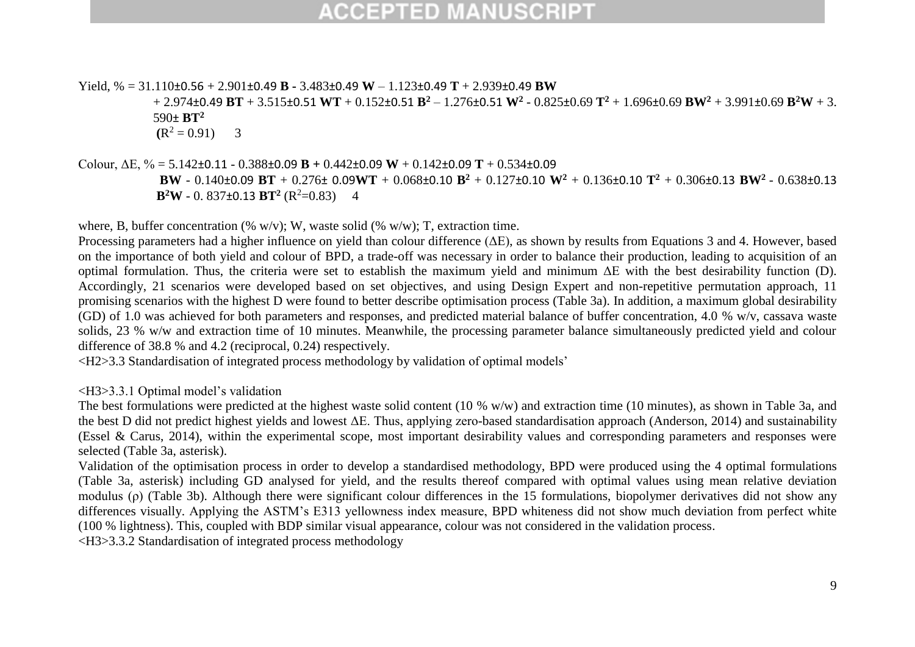Yield, % = 31.110±0.56 + 2.901±0.49 **B -** 3.483±0.49 **W** – 1.123±0.49 **T** + 2.939±0.49 **BW**

+ 2.974±0.49 **BT** + 3.515±0.51 **WT** + 0.152±0.51 **B<sup>2</sup>** – 1.276±0.51 **W<sup>2</sup>** - 0.825±0.69 **T<sup>2</sup>** + 1.696±0.69 **BW<sup>2</sup>** + 3.991±0.69 **B<sup>2</sup>W** + 3. 590± **BT<sup>2</sup>**

 $(R^2 = 0.91)$  3

Colour, ΔE, % = 5.142±0.11 - 0.388±0.09 **B +** 0.442±0.09 **W** + 0.142±0.09 **T** + 0.534±0.09

**BW** - 0.140±0.09 **BT** + 0.276± 0.09**WT** + 0.068±0.10 **B<sup>2</sup>** + 0.127±0.10 **W<sup>2</sup>** + 0.136±0.10 **T<sup>2</sup>** + 0.306±0.13 **BW<sup>2</sup>** - 0.638±0.13 **B**<sup>2</sup>**W** - 0. 837±0.13 **BT**<sup>2</sup> (R<sup>2</sup>=0.83) 4

where, B, buffer concentration (% w/v); W, waste solid (% w/w); T, extraction time.

Processing parameters had a higher influence on yield than colour difference (ΔE), as shown by results from Equations 3 and 4. However, based on the importance of both yield and colour of BPD, a trade-off was necessary in order to balance their production, leading to acquisition of an optimal formulation. Thus, the criteria were set to establish the maximum yield and minimum ΔE with the best desirability function (D). Accordingly, 21 scenarios were developed based on set objectives, and using Design Expert and non-repetitive permutation approach, 11 promising scenarios with the highest D were found to better describe optimisation process (Table 3a). In addition, a maximum global desirability (GD) of 1.0 was achieved for both parameters and responses, and predicted material balance of buffer concentration, 4.0 % w/v, cassava waste solids, 23 % w/w and extraction time of 10 minutes. Meanwhile, the processing parameter balance simultaneously predicted yield and colour difference of 38.8 % and 4.2 (reciprocal, 0.24) respectively.

<H2>3.3 Standardisation of integrated process methodology by validation of optimal models'

#### <H3>3.3.1 Optimal model's validation

The best formulations were predicted at the highest waste solid content (10 % w/w) and extraction time (10 minutes), as shown in Table 3a, and the best D did not predict highest yields and lowest ΔE. Thus, applying zero-based standardisation approach (Anderson, 2014) and sustainability (Essel & Carus, 2014), within the experimental scope, most important desirability values and corresponding parameters and responses were selected (Table 3a, asterisk).

Validation of the optimisation process in order to develop a standardised methodology, BPD were produced using the 4 optimal formulations (Table 3a, asterisk) including GD analysed for yield, and the results thereof compared with optimal values using mean relative deviation modulus (ρ) (Table 3b). Although there were significant colour differences in the 15 formulations, biopolymer derivatives did not show any differences visually. Applying the ASTM's E313 yellowness index measure, BPD whiteness did not show much deviation from perfect white (100 % lightness). This, coupled with BDP similar visual appearance, colour was not considered in the validation process.

<H3>3.3.2 Standardisation of integrated process methodology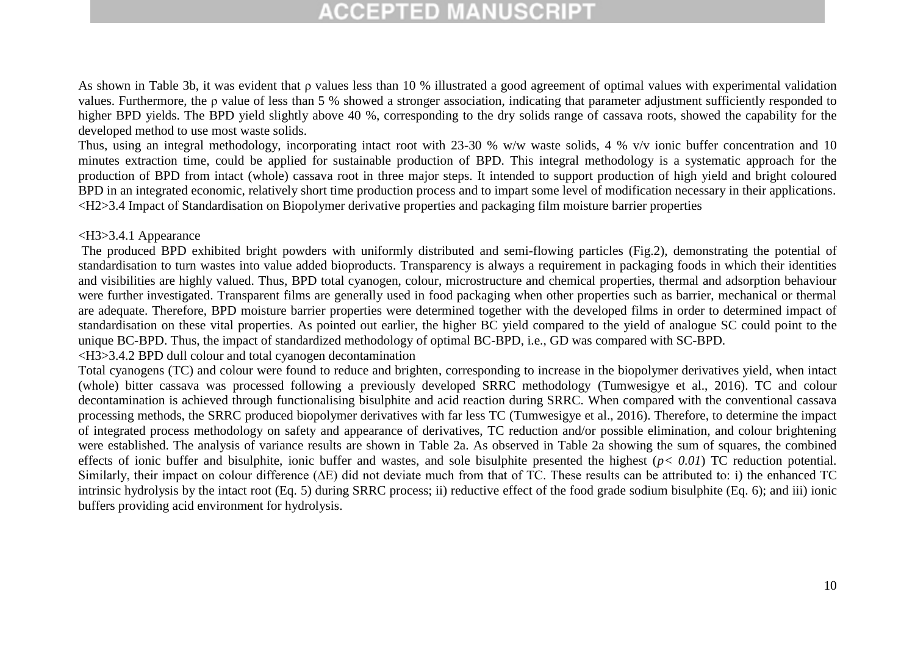As shown in Table 3b, it was evident that ρ values less than 10 % illustrated a good agreement of optimal values with experimental validation values. Furthermore, the ρ value of less than 5 % showed a stronger association, indicating that parameter adjustment sufficiently responded to higher BPD yields. The BPD yield slightly above 40 %, corresponding to the dry solids range of cassava roots, showed the capability for the developed method to use most waste solids.

Thus, using an integral methodology, incorporating intact root with 23-30 % w/w waste solids, 4 % v/v ionic buffer concentration and 10 minutes extraction time, could be applied for sustainable production of BPD. This integral methodology is a systematic approach for the production of BPD from intact (whole) cassava root in three major steps. It intended to support production of high yield and bright coloured BPD in an integrated economic, relatively short time production process and to impart some level of modification necessary in their applications. <H2>3.4 Impact of Standardisation on Biopolymer derivative properties and packaging film moisture barrier properties

#### <H3>3.4.1 Appearance

The produced BPD exhibited bright powders with uniformly distributed and semi-flowing particles (Fig.2), demonstrating the potential of standardisation to turn wastes into value added bioproducts. Transparency is always a requirement in packaging foods in which their identities and visibilities are highly valued. Thus, BPD total cyanogen, colour, microstructure and chemical properties, thermal and adsorption behaviour were further investigated. Transparent films are generally used in food packaging when other properties such as barrier, mechanical or thermal are adequate. Therefore, BPD moisture barrier properties were determined together with the developed films in order to determined impact of standardisation on these vital properties. As pointed out earlier, the higher BC yield compared to the yield of analogue SC could point to the unique BC-BPD. Thus, the impact of standardized methodology of optimal BC-BPD, i.e., GD was compared with SC-BPD.

<H3>3.4.2 BPD dull colour and total cyanogen decontamination

Total cyanogens (TC) and colour were found to reduce and brighten, corresponding to increase in the biopolymer derivatives yield, when intact (whole) bitter cassava was processed following a previously developed SRRC methodology (Tumwesigye et al., 2016). TC and colour decontamination is achieved through functionalising bisulphite and acid reaction during SRRC. When compared with the conventional cassava processing methods, the SRRC produced biopolymer derivatives with far less TC (Tumwesigye et al., 2016). Therefore, to determine the impact of integrated process methodology on safety and appearance of derivatives, TC reduction and/or possible elimination, and colour brightening were established. The analysis of variance results are shown in Table 2a. As observed in Table 2a showing the sum of squares, the combined effects of ionic buffer and bisulphite, ionic buffer and wastes, and sole bisulphite presented the highest (*p< 0.01*) TC reduction potential. Similarly, their impact on colour difference (∆E) did not deviate much from that of TC. These results can be attributed to: i) the enhanced TC intrinsic hydrolysis by the intact root (Eq. 5) during SRRC process; ii) reductive effect of the food grade sodium bisulphite (Eq. 6); and iii) ionic buffers providing acid environment for hydrolysis.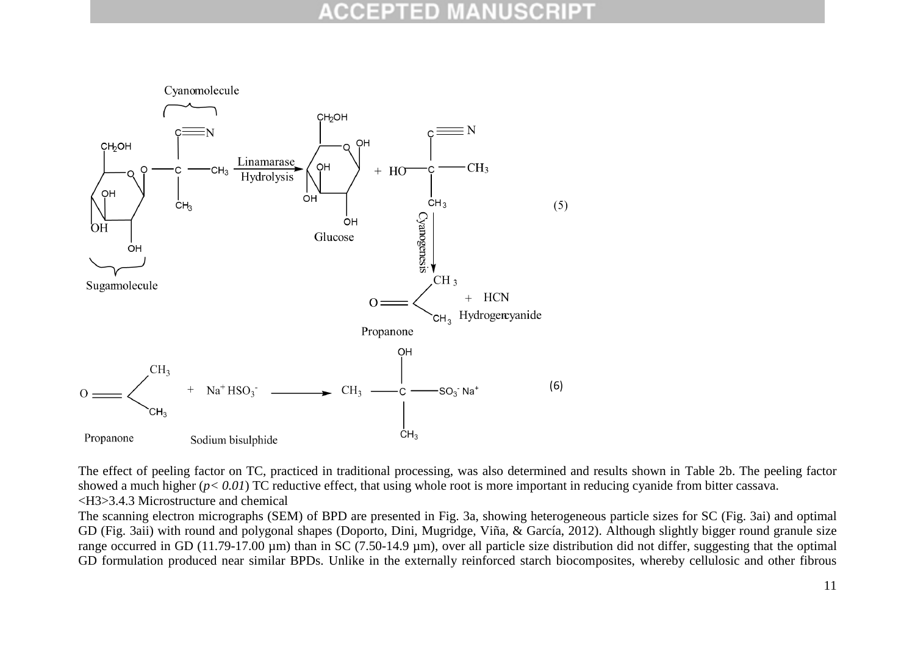

The effect of peeling factor on TC, practiced in traditional processing, was also determined and results shown in Table 2b. The peeling factor showed a much higher ( $p < 0.01$ ) TC reductive effect, that using whole root is more important in reducing cyanide from bitter cassava. <H3>3.4.3 Microstructure and chemical

The scanning electron micrographs (SEM) of BPD are presented in Fig. 3a, showing heterogeneous particle sizes for SC (Fig. 3ai) and optimal GD (Fig. 3aii) with round and polygonal shapes (Doporto, Dini, Mugridge, Viña, & García, 2012). Although slightly bigger round granule size range occurred in GD (11.79-17.00 µm) than in SC (7.50-14.9 µm), over all particle size distribution did not differ, suggesting that the optimal GD formulation produced near similar BPDs. Unlike in the externally reinforced starch biocomposites, whereby cellulosic and other fibrous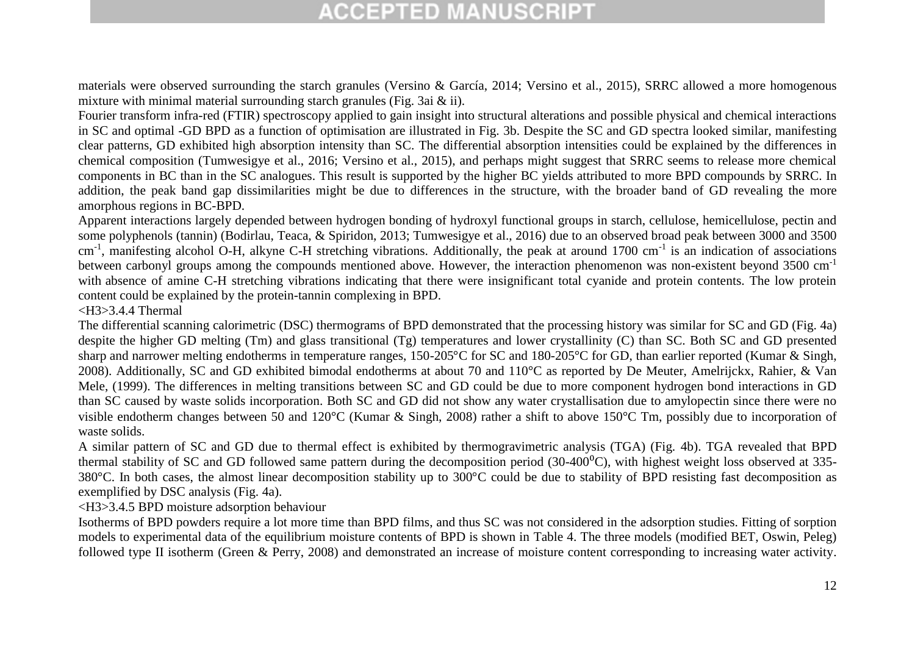materials were observed surrounding the starch granules (Versino & García, 2014; Versino et al., 2015), SRRC allowed a more homogenous mixture with minimal material surrounding starch granules (Fig. 3ai & ii).

Fourier transform infra-red (FTIR) spectroscopy applied to gain insight into structural alterations and possible physical and chemical interactions in SC and optimal -GD BPD as a function of optimisation are illustrated in Fig. 3b. Despite the SC and GD spectra looked similar, manifesting clear patterns, GD exhibited high absorption intensity than SC. The differential absorption intensities could be explained by the differences in chemical composition (Tumwesigye et al., 2016; Versino et al., 2015), and perhaps might suggest that SRRC seems to release more chemical components in BC than in the SC analogues. This result is supported by the higher BC yields attributed to more BPD compounds by SRRC. In addition, the peak band gap dissimilarities might be due to differences in the structure, with the broader band of GD revealing the more amorphous regions in BC-BPD.

Apparent interactions largely depended between hydrogen bonding of hydroxyl functional groups in starch, cellulose, hemicellulose, pectin and some polyphenols (tannin) (Bodirlau, Teaca, & Spiridon, 2013; Tumwesigye et al., 2016) due to an observed broad peak between 3000 and 3500 cm<sup>-1</sup>, manifesting alcohol O-H, alkyne C-H stretching vibrations. Additionally, the peak at around 1700 cm<sup>-1</sup> is an indication of associations between carbonyl groups among the compounds mentioned above. However, the interaction phenomenon was non-existent beyond 3500 cm-1 with absence of amine C-H stretching vibrations indicating that there were insignificant total cyanide and protein contents. The low protein content could be explained by the protein-tannin complexing in BPD.

#### <H3>3.4.4 Thermal

The differential scanning calorimetric (DSC) thermograms of BPD demonstrated that the processing history was similar for SC and GD (Fig. 4a) despite the higher GD melting (Tm) and glass transitional (Tg) temperatures and lower crystallinity (C) than SC. Both SC and GD presented sharp and narrower melting endotherms in temperature ranges, 150-205°C for SC and 180-205°C for GD, than earlier reported (Kumar & Singh, 2008). Additionally, SC and GD exhibited bimodal endotherms at about 70 and 110°C as reported by De Meuter, Amelrijckx, Rahier, & Van Mele, (1999). The differences in melting transitions between SC and GD could be due to more component hydrogen bond interactions in GD than SC caused by waste solids incorporation. Both SC and GD did not show any water crystallisation due to amylopectin since there were no visible endotherm changes between 50 and 120°C (Kumar & Singh, 2008) rather a shift to above 150°C Tm, possibly due to incorporation of waste solids.

A similar pattern of SC and GD due to thermal effect is exhibited by thermogravimetric analysis (TGA) (Fig. 4b). TGA revealed that BPD thermal stability of SC and GD followed same pattern during the decomposition period  $(30-400^{\circ}$ C), with highest weight loss observed at 335-380°C. In both cases, the almost linear decomposition stability up to 300°C could be due to stability of BPD resisting fast decomposition as exemplified by DSC analysis (Fig. 4a).

#### <H3>3.4.5 BPD moisture adsorption behaviour

Isotherms of BPD powders require a lot more time than BPD films, and thus SC was not considered in the adsorption studies. Fitting of sorption models to experimental data of the equilibrium moisture contents of BPD is shown in Table 4. The three models (modified BET, Oswin, Peleg) followed type II isotherm (Green & Perry, 2008) and demonstrated an increase of moisture content corresponding to increasing water activity.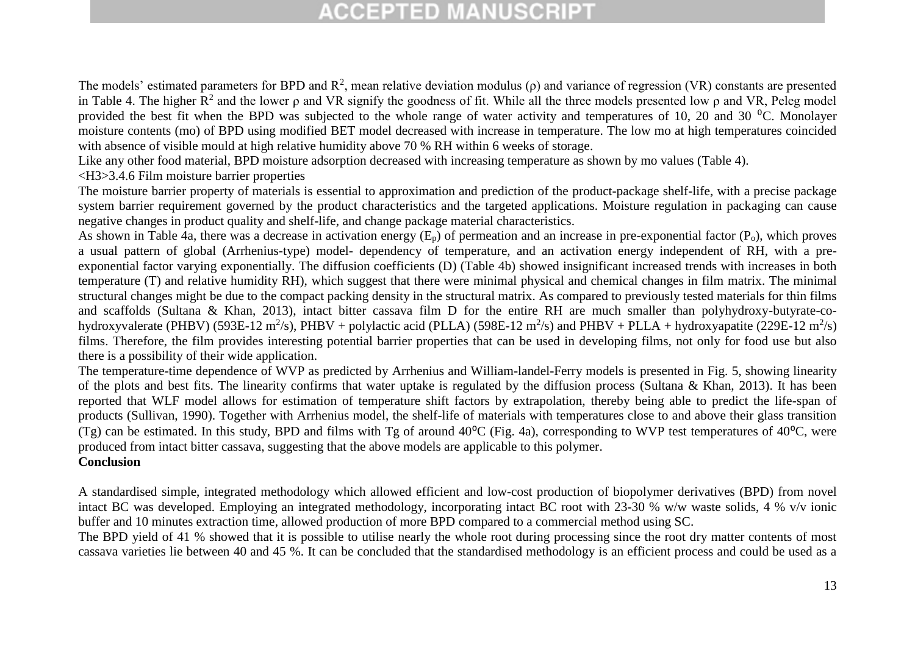The models' estimated parameters for BPD and  $\mathbb{R}^2$ , mean relative deviation modulus ( $\rho$ ) and variance of regression (VR) constants are presented in Table 4. The higher  $R^2$  and the lower  $\rho$  and VR signify the goodness of fit. While all the three models presented low  $\rho$  and VR, Peleg model provided the best fit when the BPD was subjected to the whole range of water activity and temperatures of 10, 20 and 30 <sup>o</sup>C. Monolayer moisture contents (mo) of BPD using modified BET model decreased with increase in temperature. The low mo at high temperatures coincided with absence of visible mould at high relative humidity above 70 % RH within 6 weeks of storage.

Like any other food material, BPD moisture adsorption decreased with increasing temperature as shown by mo values (Table 4).

#### <H3>3.4.6 Film moisture barrier properties

The moisture barrier property of materials is essential to approximation and prediction of the product-package shelf-life, with a precise package system barrier requirement governed by the product characteristics and the targeted applications. Moisture regulation in packaging can cause negative changes in product quality and shelf-life, and change package material characteristics.

As shown in Table 4a, there was a decrease in activation energy  $(E_p)$  of permeation and an increase in pre-exponential factor  $(P_o)$ , which proves a usual pattern of global (Arrhenius-type) model- dependency of temperature, and an activation energy independent of RH, with a preexponential factor varying exponentially. The diffusion coefficients (D) (Table 4b) showed insignificant increased trends with increases in both temperature (T) and relative humidity RH), which suggest that there were minimal physical and chemical changes in film matrix. The minimal structural changes might be due to the compact packing density in the structural matrix. As compared to previously tested materials for thin films and scaffolds (Sultana & Khan, 2013), intact bitter cassava film D for the entire RH are much smaller than polyhydroxy-butyrate-cohydroxyvalerate (PHBV) (593E-12 m<sup>2</sup>/s), PHBV + polylactic acid (PLLA) (598E-12 m<sup>2</sup>/s) and PHBV + PLLA + hydroxyapatite (229E-12 m<sup>2</sup>/s) films. Therefore, the film provides interesting potential barrier properties that can be used in developing films, not only for food use but also there is a possibility of their wide application.

The temperature-time dependence of WVP as predicted by Arrhenius and William-landel-Ferry models is presented in Fig. 5, showing linearity of the plots and best fits. The linearity confirms that water uptake is regulated by the diffusion process (Sultana & Khan, 2013). It has been reported that WLF model allows for estimation of temperature shift factors by extrapolation, thereby being able to predict the life-span of products (Sullivan, 1990). Together with Arrhenius model, the shelf-life of materials with temperatures close to and above their glass transition (Tg) can be estimated. In this study, BPD and films with Tg of around  $40^{\circ}$ C (Fig. 4a), corresponding to WVP test temperatures of  $40^{\circ}$ C, were produced from intact bitter cassava, suggesting that the above models are applicable to this polymer.

### **Conclusion**

A standardised simple, integrated methodology which allowed efficient and low-cost production of biopolymer derivatives (BPD) from novel intact BC was developed. Employing an integrated methodology, incorporating intact BC root with 23-30 % w/w waste solids, 4 % v/v ionic buffer and 10 minutes extraction time, allowed production of more BPD compared to a commercial method using SC.

The BPD yield of 41 % showed that it is possible to utilise nearly the whole root during processing since the root dry matter contents of most cassava varieties lie between 40 and 45 %. It can be concluded that the standardised methodology is an efficient process and could be used as a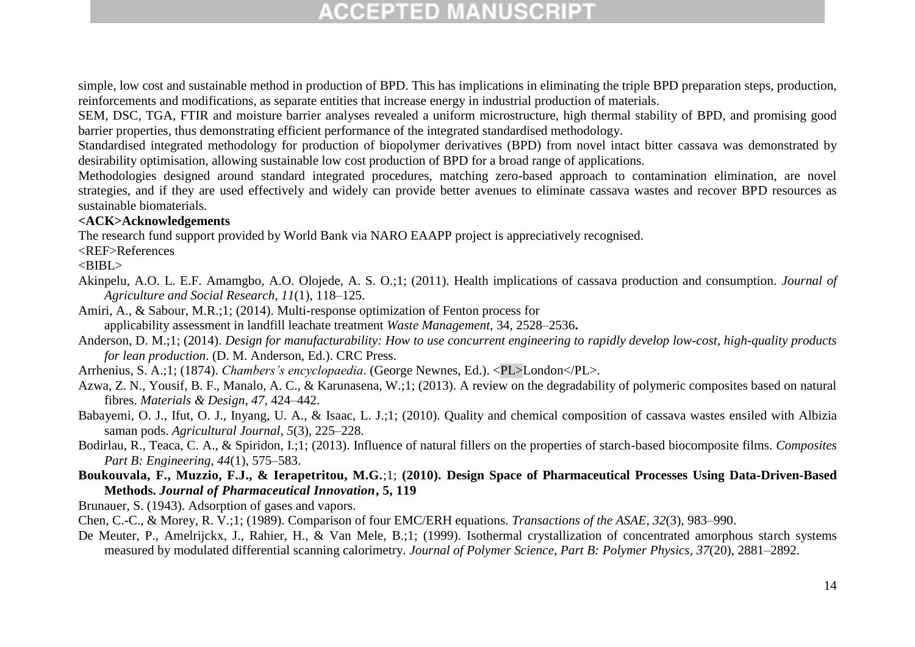simple, low cost and sustainable method in production of BPD. This has implications in eliminating the triple BPD preparation steps, production, reinforcements and modifications, as separate entities that increase energy in industrial production of materials.

SEM, DSC, TGA, FTIR and moisture barrier analyses revealed a uniform microstructure, high thermal stability of BPD, and promising good barrier properties, thus demonstrating efficient performance of the integrated standardised methodology.

Standardised integrated methodology for production of biopolymer derivatives (BPD) from novel intact bitter cassava was demonstrated by desirability optimisation, allowing sustainable low cost production of BPD for a broad range of applications.

Methodologies designed around standard integrated procedures, matching zero-based approach to contamination elimination, are novel strategies, and if they are used effectively and widely can provide better avenues to eliminate cassava wastes and recover BPD resources as sustainable biomaterials.

#### **<ACK>Acknowledgements**

The research fund support provided by World Bank via NARO EAAPP project is appreciatively recognised.

<REF>References

 $\langle$ BIBI $>$ 

- Akinpelu, A.O. L. E.F. Amamgbo, A.O. Olojede, A. S. O.;1; (2011). Health implications of cassava production and consumption. *Journal of Agriculture and Social Research*, *11*(1), 118–125.
- Amiri, A., & Sabour, M.R.;1; (2014). Multi-response optimization of Fenton process for applicability assessment in landfill leachate treatment *Waste Management,* 34, 2528–2536**.**
- Anderson, D. M.;1; (2014). *Design for manufacturability: How to use concurrent engineering to rapidly develop low-cost, high-quality products for lean production*. (D. M. Anderson, Ed.). CRC Press.
- Arrhenius, S. A.;1; (1874). *Chambers's encyclopaedia*. (George Newnes, Ed.). <PL>London</PL>.
- Azwa, Z. N., Yousif, B. F., Manalo, A. C., & Karunasena, W.;1; (2013). A review on the degradability of polymeric composites based on natural fibres. *Materials & Design*, *47*, 424–442.
- Babayemi, O. J., Ifut, O. J., Inyang, U. A., & Isaac, L. J.;1; (2010). Quality and chemical composition of cassava wastes ensiled with Albizia saman pods. *Agricultural Journal*, *5*(3), 225–228.
- Bodirlau, R., Teaca, C. A., & Spiridon, I.;1; (2013). Influence of natural fillers on the properties of starch-based biocomposite films. *Composites Part B: Engineering*, *44*(1), 575–583.
- **Boukouvala, F., Muzzio, F.J., & Ierapetritou, M.G.**;1; **(2010). Design Space of Pharmaceutical Processes Using Data-Driven-Based Methods.** *Journal of Pharmaceutical Innovation***, 5, 119**

Brunauer, S. (1943). Adsorption of gases and vapors.

Chen, C.-C., & Morey, R. V.;1; (1989). Comparison of four EMC/ERH equations. *Transactions of the ASAE*, *32*(3), 983–990.

De Meuter, P., Amelrijckx, J., Rahier, H., & Van Mele, B.;1; (1999). Isothermal crystallization of concentrated amorphous starch systems measured by modulated differential scanning calorimetry. *Journal of Polymer Science, Part B: Polymer Physics*, *37*(20), 2881–2892.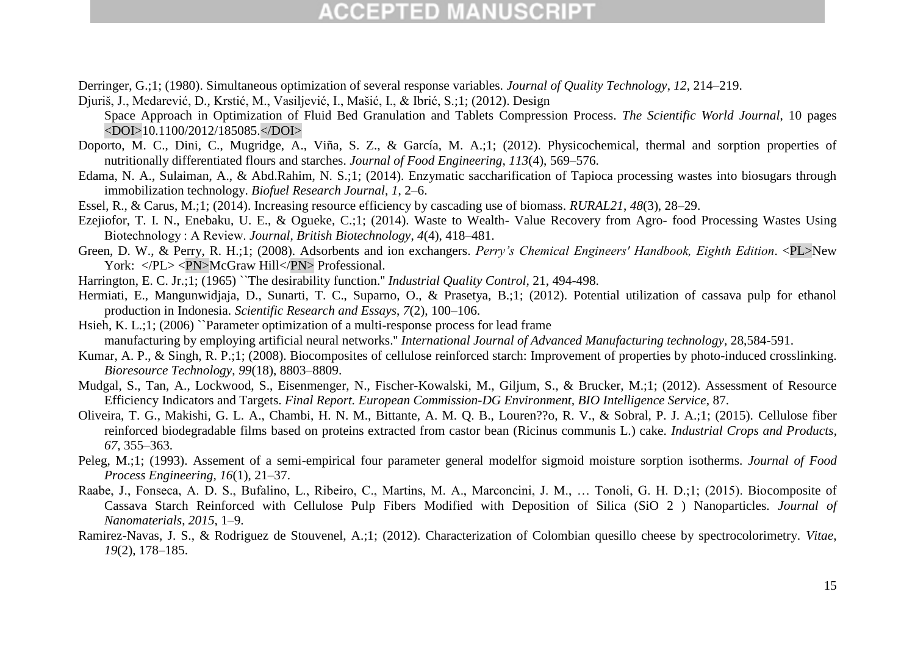Derringer, G.;1; (1980). Simultaneous optimization of several response variables. *Journal of Quality Technology*, *12*, 214–219.

- Djuriš, J., Medarević, D., Krstić, M., Vasiljević, I., Mašić, I., & Ibrić, S.;1; (2012). Design Space Approach in Optimization of Fluid Bed Granulation and Tablets Compression Process. *The Scientific World Journal*, 10 pages <DOI>10.1100/2012/185085.</DOI>
- Doporto, M. C., Dini, C., Mugridge, A., Viña, S. Z., & García, M. A.;1; (2012). Physicochemical, thermal and sorption properties of nutritionally differentiated flours and starches. *Journal of Food Engineering*, *113*(4), 569–576.
- Edama, N. A., Sulaiman, A., & Abd.Rahim, N. S.;1; (2014). Enzymatic saccharification of Tapioca processing wastes into biosugars through immobilization technology. *Biofuel Research Journal*, *1*, 2–6.
- Essel, R., & Carus, M.;1; (2014). Increasing resource efficiency by cascading use of biomass. *RURAL21*, *48*(3), 28–29.
- Ezejiofor, T. I. N., Enebaku, U. E., & Ogueke, C.;1; (2014). Waste to Wealth- Value Recovery from Agro- food Processing Wastes Using Biotechnology : A Review. *Journal, British Biotechnology*, *4*(4), 418–481.
- Green, D. W., & Perry, R. H.;1; (2008). Adsorbents and ion exchangers. *Perry's Chemical Engineers' Handbook, Eighth Edition*. <PL>New York: </PL><PN>McGraw Hill</PN>Professional.
- Harrington, E. C. Jr.;1; (1965) ``The desirability function.'' *Industrial Quality Control,* 21, 494-498.
- Hermiati, E., Mangunwidjaja, D., Sunarti, T. C., Suparno, O., & Prasetya, B.;1; (2012). Potential utilization of cassava pulp for ethanol production in Indonesia. *Scientific Research and Essays*, *7*(2), 100–106.
- Hsieh, K. L.;1; (2006) "Parameter optimization of a multi-response process for lead frame manufacturing by employing artificial neural networks.'' *International Journal of Advanced Manufacturing technology,* 28,584-591.
- Kumar, A. P., & Singh, R. P.;1; (2008). Biocomposites of cellulose reinforced starch: Improvement of properties by photo-induced crosslinking. *Bioresource Technology*, *99*(18), 8803–8809.
- Mudgal, S., Tan, A., Lockwood, S., Eisenmenger, N., Fischer-Kowalski, M., Giljum, S., & Brucker, M.;1; (2012). Assessment of Resource Efficiency Indicators and Targets. *Final Report. European Commission-DG Environment, BIO Intelligence Service*, 87.
- Oliveira, T. G., Makishi, G. L. A., Chambi, H. N. M., Bittante, A. M. Q. B., Louren??o, R. V., & Sobral, P. J. A.;1; (2015). Cellulose fiber reinforced biodegradable films based on proteins extracted from castor bean (Ricinus communis L.) cake. *Industrial Crops and Products*, *67*, 355–363.
- Peleg, M.;1; (1993). Assement of a semi-empirical four parameter general modelfor sigmoid moisture sorption isotherms. *Journal of Food Process Engineering*, *16*(1), 21–37.
- Raabe, J., Fonseca, A. D. S., Bufalino, L., Ribeiro, C., Martins, M. A., Marconcini, J. M., … Tonoli, G. H. D.;1; (2015). Biocomposite of Cassava Starch Reinforced with Cellulose Pulp Fibers Modified with Deposition of Silica (SiO 2 ) Nanoparticles. *Journal of Nanomaterials*, *2015*, 1–9.
- Ramirez-Navas, J. S., & Rodriguez de Stouvenel, A.;1; (2012). Characterization of Colombian quesillo cheese by spectrocolorimetry. *Vitae*, *19*(2), 178–185.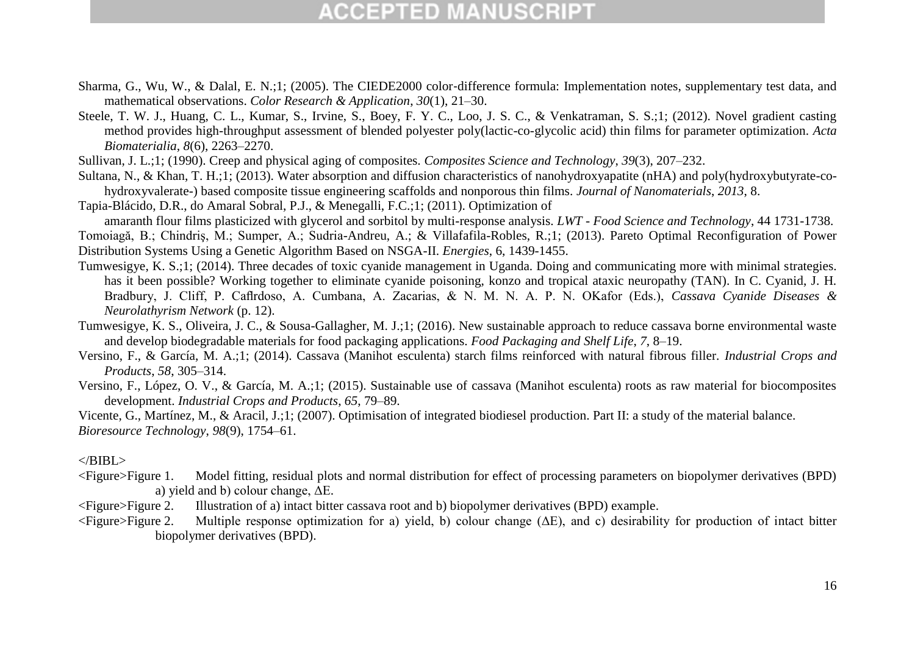- Sharma, G., Wu, W., & Dalal, E. N.;1; (2005). The CIEDE2000 color-difference formula: Implementation notes, supplementary test data, and mathematical observations. *Color Research & Application*, *30*(1), 21–30.
- Steele, T. W. J., Huang, C. L., Kumar, S., Irvine, S., Boey, F. Y. C., Loo, J. S. C., & Venkatraman, S. S.;1; (2012). Novel gradient casting method provides high-throughput assessment of blended polyester poly(lactic-co-glycolic acid) thin films for parameter optimization. *Acta Biomaterialia*, *8*(6), 2263–2270.
- Sullivan, J. L.;1; (1990). Creep and physical aging of composites. *Composites Science and Technology*, *39*(3), 207–232.

Sultana, N., & Khan, T. H.;1; (2013). Water absorption and diffusion characteristics of nanohydroxyapatite (nHA) and poly(hydroxybutyrate-cohydroxyvalerate-) based composite tissue engineering scaffolds and nonporous thin films. *Journal of Nanomaterials*, *2013*, 8.

Tapia-Blácido, D.R., do Amaral Sobral, P.J., & Menegalli, F.C.;1; (2011). Optimization of

amaranth flour films plasticized with glycerol and sorbitol by multi-response analysis. *LWT - Food Science and Technology*, 44 1731-1738.

Tomoiagă, B.; Chindriş, M.; Sumper, A.; Sudria-Andreu, A.; & Villafafila-Robles, R.;1; (2013). Pareto Optimal Reconfiguration of Power Distribution Systems Using a Genetic Algorithm Based on NSGA-II. *Energies*, 6, 1439-1455.

- Tumwesigye, K. S.;1; (2014). Three decades of toxic cyanide management in Uganda. Doing and communicating more with minimal strategies. has it been possible? Working together to eliminate cyanide poisoning, konzo and tropical ataxic neuropathy (TAN). In C. Cyanid, J. H. Bradbury, J. Cliff, P. Caflrdoso, A. Cumbana, A. Zacarias, & N. M. N. A. P. N. OKafor (Eds.), *Cassava Cyanide Diseases & Neurolathyrism Network* (p. 12).
- Tumwesigye, K. S., Oliveira, J. C., & Sousa-Gallagher, M. J.;1; (2016). New sustainable approach to reduce cassava borne environmental waste and develop biodegradable materials for food packaging applications. *Food Packaging and Shelf Life*, *7*, 8–19.
- Versino, F., & García, M. A.;1; (2014). Cassava (Manihot esculenta) starch films reinforced with natural fibrous filler. *Industrial Crops and Products*, *58*, 305–314.
- Versino, F., López, O. V., & García, M. A.;1; (2015). Sustainable use of cassava (Manihot esculenta) roots as raw material for biocomposites development. *Industrial Crops and Products*, *65*, 79–89.

Vicente, G., Martínez, M., & Aracil, J.;1; (2007). Optimisation of integrated biodiesel production. Part II: a study of the material balance. *Bioresource Technology*, *98*(9), 1754–61.

#### $<$ /BIBL $>$

- <Figure>Figure 1. Model fitting, residual plots and normal distribution for effect of processing parameters on biopolymer derivatives (BPD) a) yield and b) colour change, ΔE.
- <Figure>Figure 2. Illustration of a) intact bitter cassava root and b) biopolymer derivatives (BPD) example.
- <Figure>Figure 2. Multiple response optimization for a) yield, b) colour change (ΔE), and c) desirability for production of intact bitter biopolymer derivatives (BPD).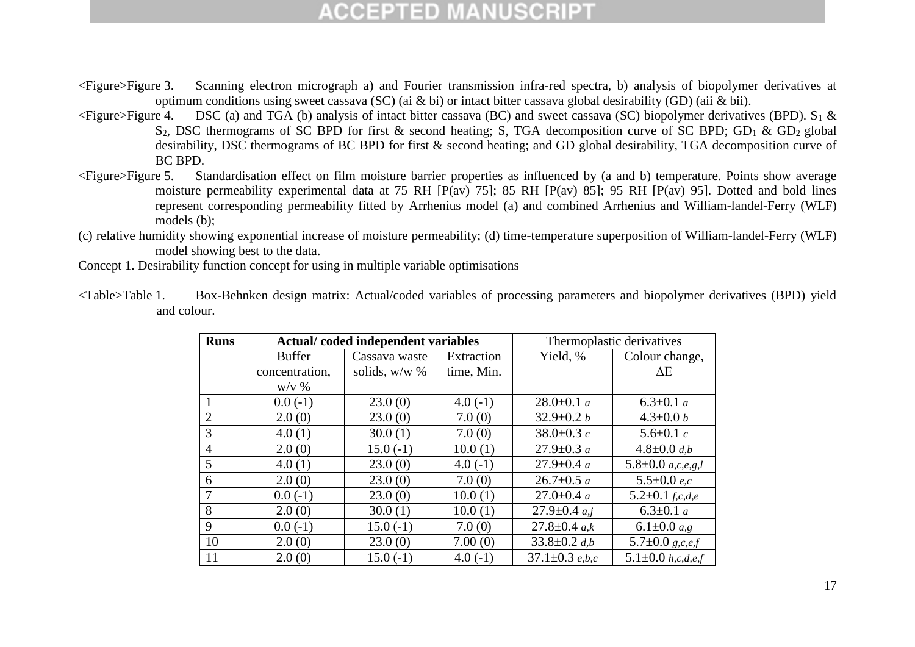- <Figure>Figure 3. Scanning electron micrograph a) and Fourier transmission infra-red spectra, b) analysis of biopolymer derivatives at optimum conditions using sweet cassava (SC) (ai & bi) or intact bitter cassava global desirability (GD) (aii & bii).
- $\leq$ Figure>Figure 4. DSC (a) and TGA (b) analysis of intact bitter cassava (BC) and sweet cassava (SC) biopolymer derivatives (BPD). S<sub>1</sub> &  $S_2$ , DSC thermograms of SC BPD for first & second heating; S, TGA decomposition curve of SC BPD; GD<sub>1</sub> & GD<sub>2</sub> global desirability, DSC thermograms of BC BPD for first & second heating; and GD global desirability, TGA decomposition curve of BC BPD.
- <Figure>Figure 5. Standardisation effect on film moisture barrier properties as influenced by (a and b) temperature. Points show average moisture permeability experimental data at 75 RH [P(av) 75]; 85 RH [P(av) 85]; 95 RH [P(av) 95]. Dotted and bold lines represent corresponding permeability fitted by Arrhenius model (a) and combined Arrhenius and William-landel-Ferry (WLF) models (b);
- (c) relative humidity showing exponential increase of moisture permeability; (d) time-temperature superposition of William-landel-Ferry (WLF) model showing best to the data.
- Concept 1. Desirability function concept for using in multiple variable optimisations

| <b>Runs</b>    |                | Actual/coded independent variables |            |                      | Thermoplastic derivatives     |
|----------------|----------------|------------------------------------|------------|----------------------|-------------------------------|
|                | <b>Buffer</b>  | Cassava waste                      | Extraction | Yield, %             | Colour change,                |
|                | concentration, | solids, w/w %                      | time, Min. |                      | $\Delta E$                    |
|                | $W/V$ %        |                                    |            |                      |                               |
|                | $0.0(-1)$      | 23.0(0)                            | $4.0(-1)$  | $28.0 \pm 0.1 a$     | 6.3 $\pm$ 0.1 a               |
| $\overline{2}$ | 2.0(0)         | 23.0(0)                            | 7.0(0)     | $32.9 \pm 0.2 b$     | $4.3 \pm 0.0 b$               |
| 3              | 4.0(1)         | 30.0(1)                            | 7.0(0)     | 38.0 $\pm$ 0.3 $c$   | 5.6 $\pm$ 0.1 $c$             |
| $\overline{4}$ | 2.0(0)         | $15.0(-1)$                         | 10.0(1)    | $27.9 \pm 0.3 a$     | $4.8 \pm 0.0$ d,b             |
| 5              | 4.0(1)         | 23.0(0)                            | $4.0(-1)$  | $27.9 \pm 0.4 a$     | 5.8 $\pm$ 0.0 $a, c, e, g, l$ |
| 6              | 2.0(0)         | 23.0(0)                            | 7.0(0)     | $26.7 \pm 0.5 a$     | 5.5 $\pm$ 0.0 e,c             |
| 7              | $0.0(-1)$      | 23.0(0)                            | 10.0(1)    | $27.0 \pm 0.4 a$     | 5.2 $\pm$ 0.1 f,c,d,e         |
| 8              | 2.0(0)         | 30.0(1)                            | 10.0(1)    | $27.9 \pm 0.4$ a,j   | 6.3 $\pm$ 0.1 a               |
| 9              | $0.0(-1)$      | $15.0(-1)$                         | 7.0(0)     | $27.8 \pm 0.4$ a,k   | 6.1 $\pm$ 0.0 $a$ ,g          |
| 10             | 2.0(0)         | 23.0(0)                            | 7.00(0)    | $33.8 \pm 0.2$ d,b   | 5.7 $\pm$ 0.0 g,c,e,f         |
| 11             | 2.0(0)         | $15.0(-1)$                         | $4.0(-1)$  | $37.1 \pm 0.3$ e,b,c | 5.1 $\pm$ 0.0 h,c,d,e,f       |

<Table>Table 1. Box-Behnken design matrix: Actual/coded variables of processing parameters and biopolymer derivatives (BPD) yield and colour.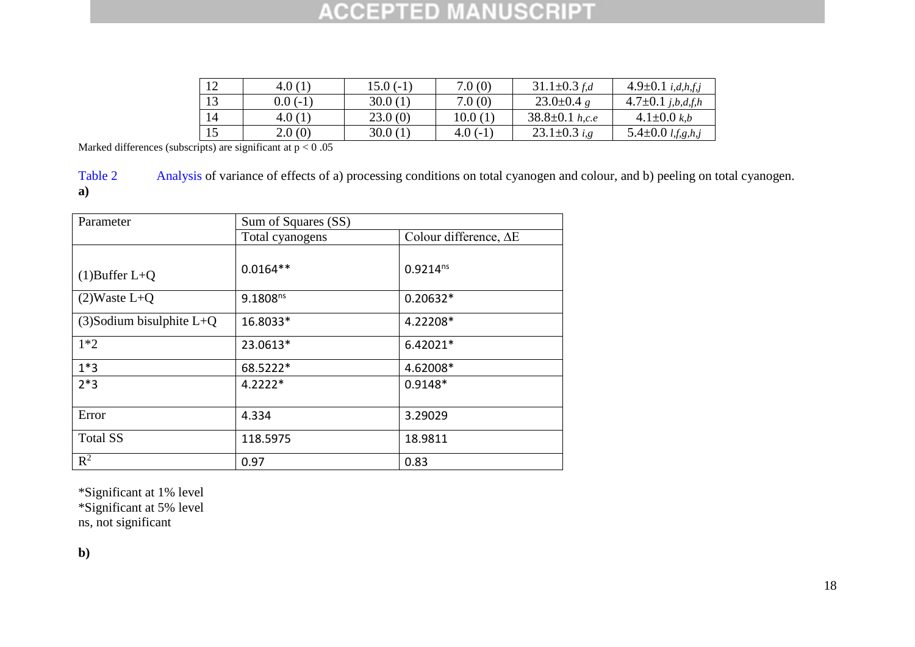| 1 <sub>2</sub> | 4.0(1)    | $15.0(-1)$ | 7.0(0)    | $31.1 \pm 0.3$ f,d        | $4.9 \pm 0.1$ <i>i,d,h,f,j</i>                                     |
|----------------|-----------|------------|-----------|---------------------------|--------------------------------------------------------------------|
| 1 <sub>2</sub> | $0.0(-1)$ | 30.0(1)    | 7.0(0)    | 23.0 $\pm$ 0.4 g          | $4.7 \pm 0.1$ j,b,d,f,h                                            |
| 14             | 4.0(1)    | 23.0(0)    | 10.0(1)   | $38.8 \pm 0.1$ h,c.e      | 4.1 $\pm$ 0.0 k,b                                                  |
|                | 2.0(0)    | 30.0(1)    | $4.0(-1)$ | 23.1 $\pm$ 0.3 <i>i.g</i> | 5.4 $\pm$ 0.0 <i>l</i> , <i>f</i> , <i>g</i> , <i>h</i> , <i>j</i> |

Marked differences (subscripts) are significant at  $p < 0.05$ 

Table 2 Analysis of variance of effects of a) processing conditions on total cyanogen and colour, and b) peeling on total cyanogen. **a)**

| Parameter                   | Sum of Squares (SS) |                               |  |  |  |  |  |
|-----------------------------|---------------------|-------------------------------|--|--|--|--|--|
|                             | Total cyanogens     | Colour difference, $\Delta E$ |  |  |  |  |  |
| $(1)$ Buffer L+Q            | $0.0164**$          | $0.9214^{ns}$                 |  |  |  |  |  |
| $(2)$ Waste L+Q             | $9.1808^{ns}$       | $0.20632*$                    |  |  |  |  |  |
| $(3)$ Sodium bisulphite L+Q | 16.8033*            | 4.22208*                      |  |  |  |  |  |
| $1*2$                       | 23.0613*            | $6.42021*$                    |  |  |  |  |  |
| $1*3$                       | 68.5222*            | 4.62008*                      |  |  |  |  |  |
| $2*3$                       | $4.2222*$           | $0.9148*$                     |  |  |  |  |  |
| Error                       | 4.334               | 3.29029                       |  |  |  |  |  |
| <b>Total SS</b>             | 118.5975            | 18.9811                       |  |  |  |  |  |
| $R^2$                       | 0.97                | 0.83                          |  |  |  |  |  |

\*Significant at 1% level

\*Significant at 5% level

ns, not significant

**b)**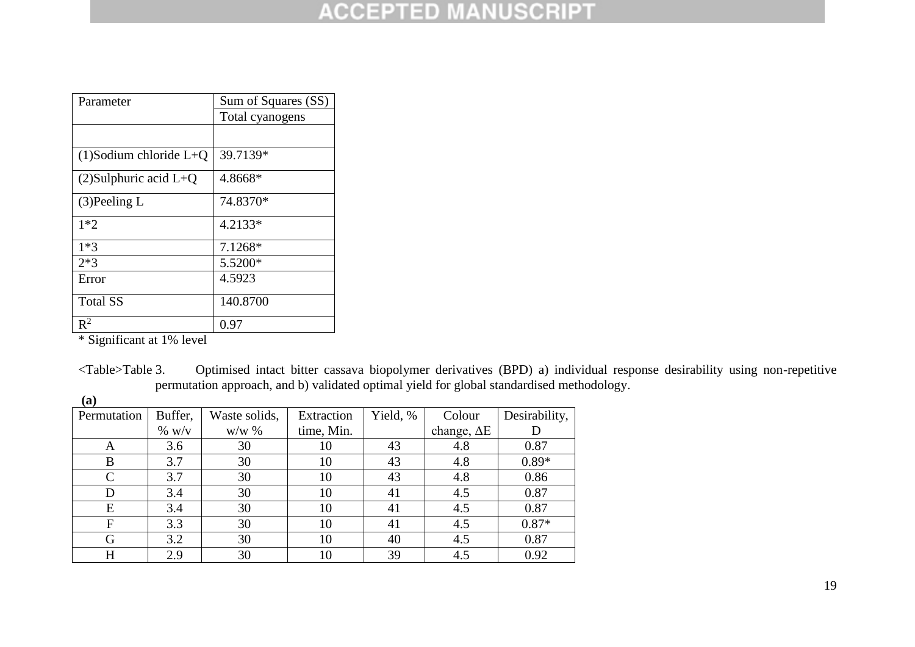| Parameter                 | Sum of Squares (SS) |
|---------------------------|---------------------|
|                           | Total cyanogens     |
|                           |                     |
| $(1)$ Sodium chloride L+Q | 39.7139*            |
| $(2)$ Sulphuric acid L+Q  | 4.8668*             |
| $(3)$ Peeling L           | 74.8370*            |
| $1*2$                     | 4.2133*             |
| $1*3$                     | 7.1268*             |
| $2*3$                     | 5.5200*             |
| Error                     | 4.5923              |
| <b>Total SS</b>           | 140.8700            |
| $\mathbb{R}^2$            | 0.97                |

\* Significant at 1% level

<Table>Table 3. Optimised intact bitter cassava biopolymer derivatives (BPD) a) individual response desirability using non-repetitive permutation approach, and b) validated optimal yield for global standardised methodology.

| Permutation | Buffer,  | Waste solids, | Extraction | Yield, % | Colour             | Desirability, |
|-------------|----------|---------------|------------|----------|--------------------|---------------|
|             | $\%$ w/v | $W/W$ %       | time, Min. |          | change, $\Delta E$ |               |
| A           | 3.6      | 30            | 10         | 43       | 4.8                | 0.87          |
| B           | 3.7      | 30            | 10         | 43       | 4.8                | $0.89*$       |
| C           | 3.7      | 30            | 10         | 43       | 4.8                | 0.86          |
|             | 3.4      | 30            | 10         | 41       | 4.5                | 0.87          |
| E           | 3.4      | 30            | 10         | 41       | 4.5                | 0.87          |
| F           | 3.3      | 30            | 10         | 41       | 4.5                | $0.87*$       |
| G           | 3.2      | 30            | 10         | 40       | 4.5                | 0.87          |
| H           | 2.9      | 30            | 10         | 39       | 4.5                | 0.92          |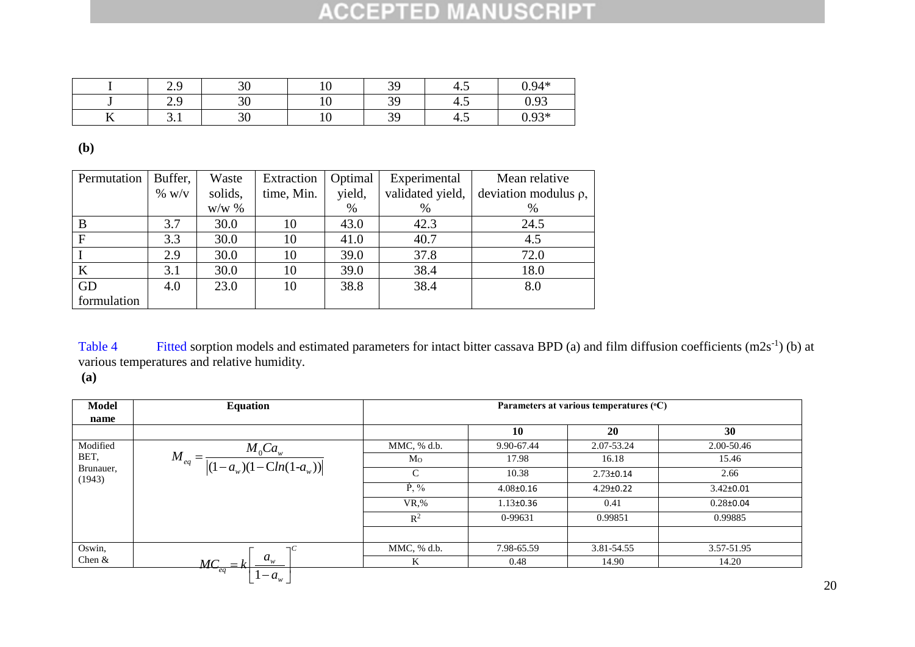|            | ر . ب | $\Omega$<br>υc | ◡   | 30 | т.  | $0.94*$                |
|------------|-------|----------------|-----|----|-----|------------------------|
|            | ر . ب | $\Omega$       | ∸⊽  | 30 | +.  | በ 03                   |
| $- -$<br>∸ | ◡.    | $\Omega$<br>υU | ⊥ ∪ | 30 | 4.J | $\Omega$ 02*<br>v. . J |

**(b)**

| Permutation | Buffer,  | Waste   | Extraction | Optimal | Experimental     | Mean relative              |
|-------------|----------|---------|------------|---------|------------------|----------------------------|
|             | $\%~W/V$ | solids, | time, Min. | yield,  | validated yield, | deviation modulus $\rho$ , |
|             |          | $W/W$ % |            | %       | %                | $\%$                       |
| B           | 3.7      | 30.0    | 10         | 43.0    | 42.3             | 24.5                       |
| F           | 3.3      | 30.0    | 10         | 41.0    | 40.7             | 4.5                        |
|             | 2.9      | 30.0    | 10         | 39.0    | 37.8             | 72.0                       |
| $\bf K$     | 3.1      | 30.0    | 10         | 39.0    | 38.4             | 18.0                       |
| GD          | 4.0      | 23.0    | 10         | 38.8    | 38.4             | 8.0                        |
| formulation |          |         |            |         |                  |                            |

Table 4 Fitted sorption models and estimated parameters for intact bitter cassava BPD (a) and film diffusion coefficients  $(m2s^{-1})$  (b) at various temperatures and relative humidity.

**(a)**

| <b>Model</b>        | <b>Equation</b>                                                              |                | Parameters at various temperatures (°C) |                 |                 |  |  |
|---------------------|------------------------------------------------------------------------------|----------------|-----------------------------------------|-----------------|-----------------|--|--|
| name                |                                                                              |                |                                         |                 |                 |  |  |
|                     |                                                                              |                | 10                                      | 20              | 30              |  |  |
| Modified            |                                                                              | MMC, % d.b.    | 9.90-67.44                              | 2.07-53.24      | 2.00-50.46      |  |  |
| BET,                | $_{q} = \frac{M_{0}Ca_{w}}{ (1-a_{w})(1-Cln(1-a_{w})) }$<br>$M_{\rm \it eq}$ | M <sub>O</sub> | 17.98                                   | 16.18           | 15.46           |  |  |
| Brunauer,<br>(1943) |                                                                              | C              | 10.38                                   | $2.73 \pm 0.14$ | 2.66            |  |  |
|                     |                                                                              | $\dot{P}$ , %  | $4.08 \pm 0.16$                         | $4.29 \pm 0.22$ | $3.42 \pm 0.01$ |  |  |
|                     |                                                                              | $VR$ %         | $1.13 \pm 0.36$                         | 0.41            | $0.28 \pm 0.04$ |  |  |
|                     |                                                                              | $R^2$          | 0-99631                                 | 0.99851         | 0.99885         |  |  |
|                     |                                                                              |                |                                         |                 |                 |  |  |
| Oswin,              |                                                                              | MMC, % d.b.    | 7.98-65.59                              | 3.81-54.55      | 3.57-51.95      |  |  |
| Chen $&$            | $a_{\scriptscriptstyle{w}}^{\vphantom{\dagger}}$<br>$\overline{MC}_{eq}$     | K              | 0.48                                    | 14.90           | 14.20           |  |  |
|                     | $\cdot - a_{w}$                                                              |                |                                         |                 |                 |  |  |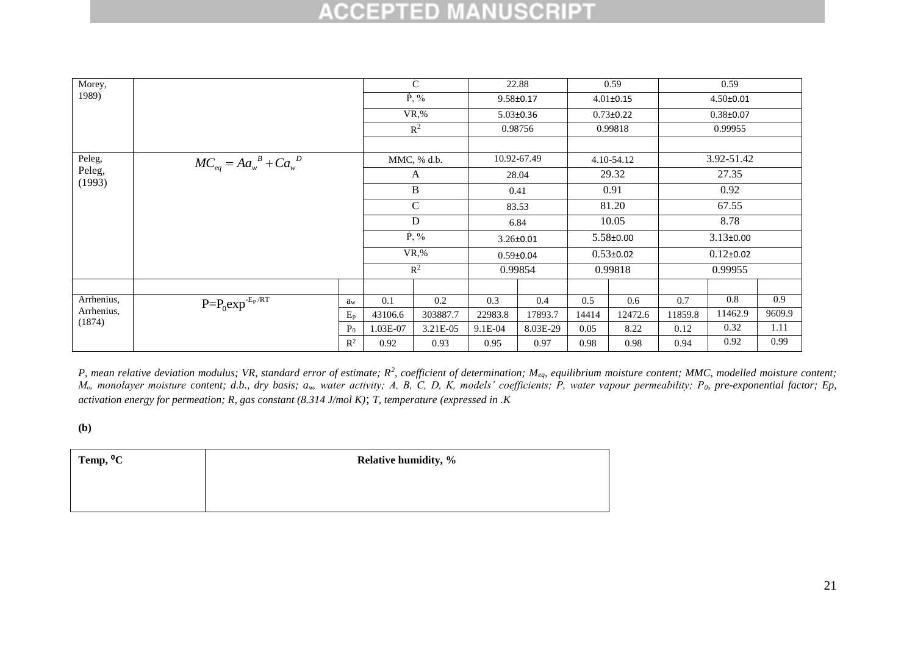| Morey,               |                                    |                |          | $\mathcal{C}$ |         | 22.88           |       | 0.59            |            | 0.59            |        |
|----------------------|------------------------------------|----------------|----------|---------------|---------|-----------------|-------|-----------------|------------|-----------------|--------|
| 1989)                |                                    |                |          | $\dot{P}$ , % |         | $9.58 \pm 0.17$ |       | $4.01 \pm 0.15$ |            | $4.50 \pm 0.01$ |        |
|                      |                                    |                |          | $VR,\%$       |         | $5.03 \pm 0.36$ |       | $0.73 \pm 0.22$ |            | $0.38 \pm 0.07$ |        |
|                      |                                    |                |          | $R^2$         |         | 0.98756         |       | 0.99818         |            | 0.99955         |        |
|                      |                                    |                |          |               |         |                 |       |                 |            |                 |        |
| Peleg,               | $MC_{eq} = A a_w^B + C a_w^D$      |                |          | MMC, % d.b.   |         | 10.92-67.49     |       | 4.10-54.12      | 3.92-51.42 |                 |        |
| Peleg,               |                                    |                |          | A             |         | 28.04           |       | 29.32           | 27.35      |                 |        |
| (1993)               |                                    |                |          | B             | 0.41    |                 | 0.91  |                 | 0.92       |                 |        |
|                      |                                    |                |          | $\mathcal{C}$ |         | 83.53           |       | 81.20           |            | 67.55           |        |
|                      |                                    |                |          | D             |         | 6.84            |       | 10.05           |            | 8.78            |        |
|                      |                                    |                |          | $\dot{P}$ , % |         | $3.26 \pm 0.01$ |       | $5.58 \pm 0.00$ |            | $3.13 \pm 0.00$ |        |
|                      |                                    |                |          | $VR,\%$       |         | $0.59 \pm 0.04$ |       | $0.53 \pm 0.02$ |            | $0.12 \pm 0.02$ |        |
|                      |                                    |                |          | $R^2$         |         | 0.99854         |       | 0.99818         |            | 0.99955         |        |
|                      |                                    |                |          |               |         |                 |       |                 |            |                 |        |
| Arrhenius,           | $P = P_0 exp^{-E_P/\overline{RT}}$ | aw             | 0.1      | $0.2\,$       | 0.3     | 0.4             | 0.5   | $0.6\,$         | 0.7        | 0.8             | 0.9    |
| Arrhenius,<br>(1874) |                                    | $E_p$          | 43106.6  | 303887.7      | 22983.8 | 17893.7         | 14414 | 12472.6         | 11859.8    | 11462.9         | 9609.9 |
|                      |                                    | P <sub>0</sub> | 1.03E-07 | 3.21E-05      | 9.1E-04 | 8.03E-29        | 0.05  | 8.22            | 0.12       | 0.32            | 1.11   |
|                      |                                    | $\mathbb{R}^2$ | 0.92     | 0.93          | 0.95    | 0.97            | 0.98  | 0.98            | 0.94       | 0.92            | 0.99   |

P, mean relative deviation modulus; VR, standard error of estimate; R<sup>2</sup>, coefficient of determination; M<sub>eq</sub>, equilibrium moisture content; MMC, modelled moisture content; *Mₒ, monolayer moisture content; d.b., dry basis; aw, water activity; A, B, C, D, K, models' coefficients; P, water vapour permeability; P0, pre-exponential factor; Ep, activation energy for permeation; R, gas constant (8.314 J/mol K)*; *T, temperature (expressed in .K*

**(b)**

| Temp, <sup>o</sup> C | <b>Relative humidity, %</b> |
|----------------------|-----------------------------|
|                      |                             |
|                      |                             |